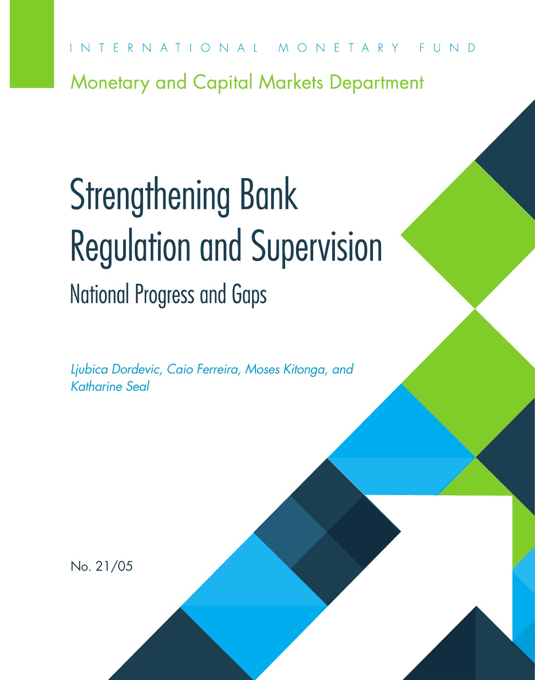INTERNATIONAL MONETARY FUND

Monetary and Capital Markets Department

# Strengthening Bank Regulation and Supervision National Progress and Gaps

*Ljubica Dordevic, Caio Ferreira, Moses Kitonga, and Katharine Seal*

No. 21/05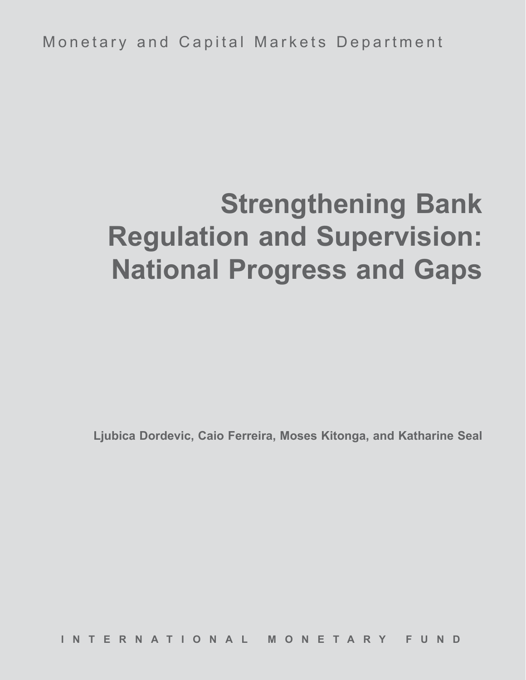Monetary and Capital Markets Department

# **Strengthening Bank Regulation and Supervision: National Progress and Gaps**

**Ljubica Dordevic, Caio Ferreira, Moses Kitonga, and Katharine Seal**

**INTERNATIONAL MONETARY FUND**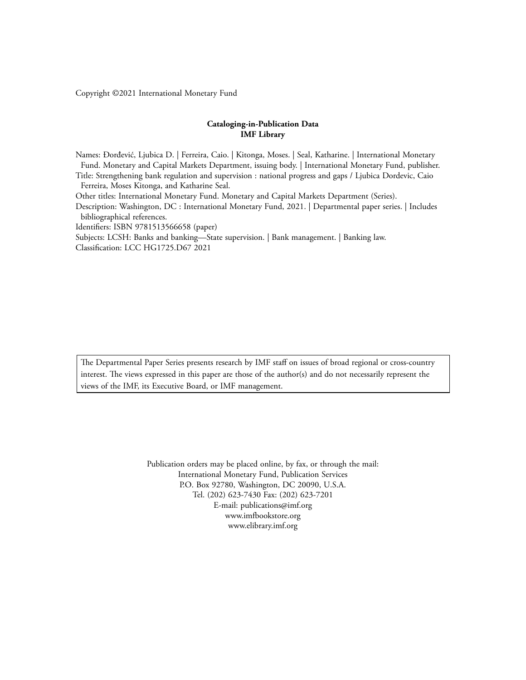Copyright ©2021 International Monetary Fund

#### **Cataloging-in-Publication Data IMF Library**

Names: Đorđević, Ljubica D. | Ferreira, Caio. | Kitonga, Moses. | Seal, Katharine. | International Monetary Fund. Monetary and Capital Markets Department, issuing body. | International Monetary Fund, publisher. Title: Strengthening bank regulation and supervision : national progress and gaps / Ljubica Dordevic, Caio Ferreira, Moses Kitonga, and Katharine Seal. Other titles: International Monetary Fund. Monetary and Capital Markets Department (Series). Description: Washington, DC : International Monetary Fund, 2021. | Departmental paper series. | Includes bibliographical references. Identifiers: ISBN 9781513566658 (paper) Subjects: LCSH: Banks and banking—State supervision. | Bank management. | Banking law.

Classification: LCC HG1725.D67 2021

The Departmental Paper Series presents research by IMF staff on issues of broad regional or cross-country interest. The views expressed in this paper are those of the author(s) and do not necessarily represent the views of the IMF, its Executive Board, or IMF management.

> Publication orders may be placed online, by fax, or through the mail: International Monetary Fund, Publication Services P.O. Box 92780, Washington, DC 20090, U.S.A. Tel. (202) 623-7430 Fax: (202) 623-7201 E-mail: publications@imf.org www.imfbookstore.org www.elibrary.imf.org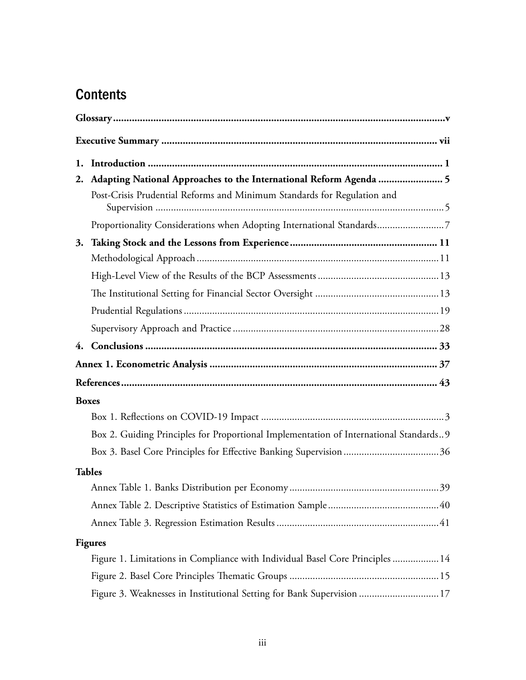# **Contents**

| 2. | Adapting National Approaches to the International Reform Agenda  5                    |
|----|---------------------------------------------------------------------------------------|
|    | Post-Crisis Prudential Reforms and Minimum Standards for Regulation and               |
|    | Proportionality Considerations when Adopting International Standards7                 |
| 3. |                                                                                       |
|    |                                                                                       |
|    |                                                                                       |
|    |                                                                                       |
|    |                                                                                       |
|    |                                                                                       |
|    |                                                                                       |
|    |                                                                                       |
|    |                                                                                       |
|    | <b>Boxes</b>                                                                          |
|    |                                                                                       |
|    | Box 2. Guiding Principles for Proportional Implementation of International Standards9 |
|    |                                                                                       |
|    | <b>Tables</b>                                                                         |
|    |                                                                                       |
|    |                                                                                       |
|    |                                                                                       |
|    | <b>Figures</b>                                                                        |
|    | Figure 1. Limitations in Compliance with Individual Basel Core Principles  14         |
|    |                                                                                       |
|    | Figure 3. Weaknesses in Institutional Setting for Bank Supervision  17                |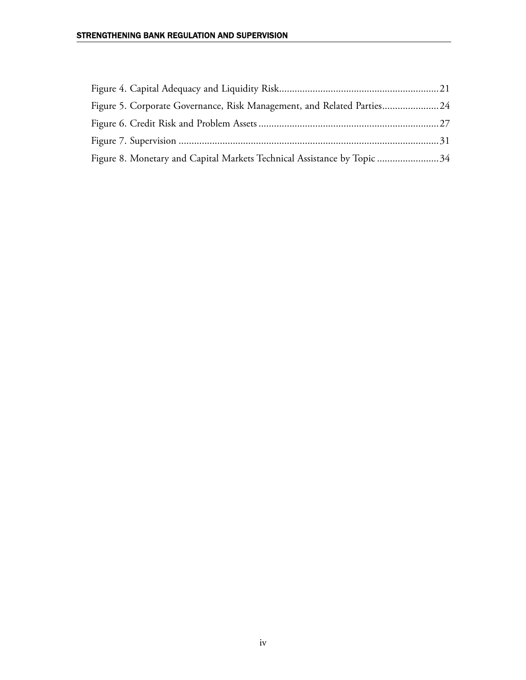| Figure 5. Corporate Governance, Risk Management, and Related Parties24  |  |
|-------------------------------------------------------------------------|--|
|                                                                         |  |
|                                                                         |  |
| Figure 8. Monetary and Capital Markets Technical Assistance by Topic 34 |  |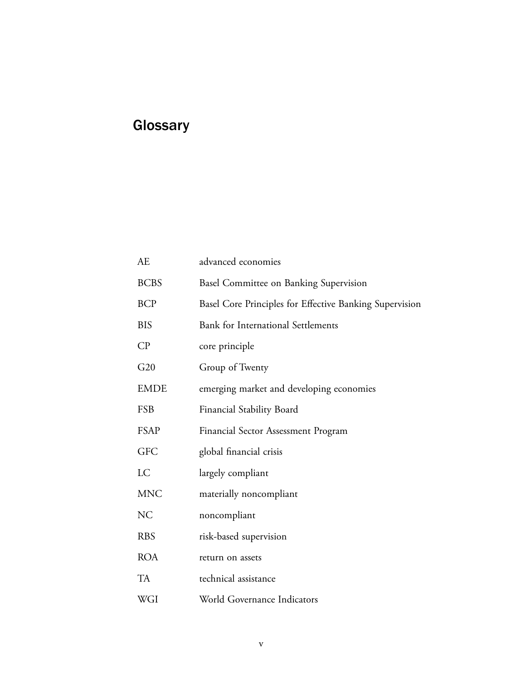# **Glossary**

| АE             | advanced economies                                      |
|----------------|---------------------------------------------------------|
| <b>BCBS</b>    | Basel Committee on Banking Supervision                  |
| <b>BCP</b>     | Basel Core Principles for Effective Banking Supervision |
| <b>BIS</b>     | <b>Bank for International Settlements</b>               |
| $\mathbb{C}P$  | core principle                                          |
| G20            | Group of Twenty                                         |
| <b>EMDE</b>    | emerging market and developing economies                |
| FSB            | Financial Stability Board                               |
| <b>FSAP</b>    | Financial Sector Assessment Program                     |
| <b>GFC</b>     | global financial crisis                                 |
| LC             | largely compliant                                       |
| <b>MNC</b>     | materially noncompliant                                 |
| N <sub>C</sub> | noncompliant                                            |
| <b>RBS</b>     | risk-based supervision                                  |
| <b>ROA</b>     | return on assets                                        |
| <b>TA</b>      | technical assistance                                    |
| WGI            | World Governance Indicators                             |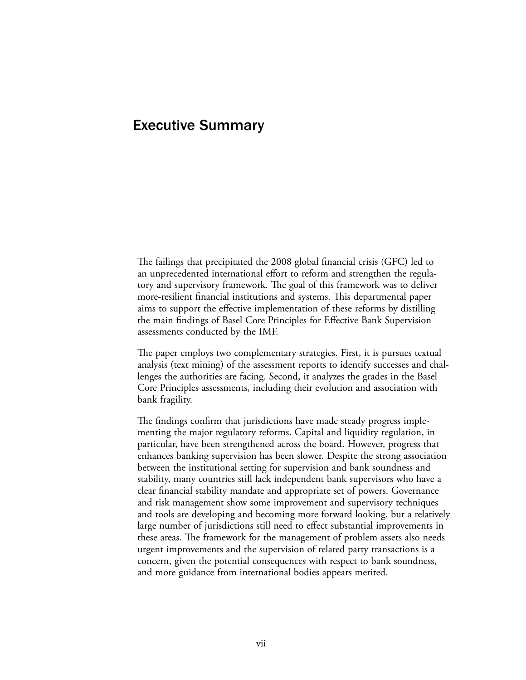## Executive Summary

The failings that precipitated the 2008 global financial crisis (GFC) led to an unprecedented international effort to reform and strengthen the regulatory and supervisory framework. The goal of this framework was to deliver more-resilient financial institutions and systems. This departmental paper aims to support the effective implementation of these reforms by distilling the main findings of Basel Core Principles for Effective Bank Supervision assessments conducted by the IMF.

The paper employs two complementary strategies. First, it is pursues textual analysis (text mining) of the assessment reports to identify successes and challenges the authorities are facing. Second, it analyzes the grades in the Basel Core Principles assessments, including their evolution and association with bank fragility.

The findings confirm that jurisdictions have made steady progress implementing the major regulatory reforms. Capital and liquidity regulation, in particular, have been strengthened across the board. However, progress that enhances banking supervision has been slower. Despite the strong association between the institutional setting for supervision and bank soundness and stability, many countries still lack independent bank supervisors who have a clear financial stability mandate and appropriate set of powers. Governance and risk management show some improvement and supervisory techniques and tools are developing and becoming more forward looking, but a relatively large number of jurisdictions still need to effect substantial improvements in these areas. The framework for the management of problem assets also needs urgent improvements and the supervision of related party transactions is a concern, given the potential consequences with respect to bank soundness, and more guidance from international bodies appears merited.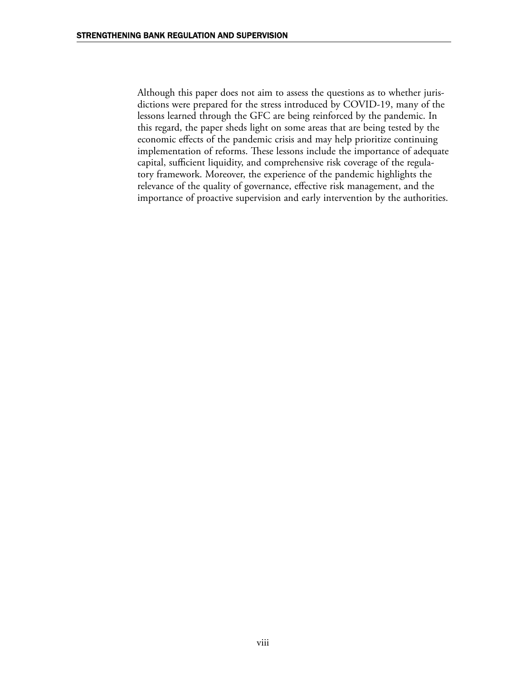Although this paper does not aim to assess the questions as to whether jurisdictions were prepared for the stress introduced by COVID-19, many of the lessons learned through the GFC are being reinforced by the pandemic. In this regard, the paper sheds light on some areas that are being tested by the economic effects of the pandemic crisis and may help prioritize continuing implementation of reforms. These lessons include the importance of adequate capital, sufficient liquidity, and comprehensive risk coverage of the regulatory framework. Moreover, the experience of the pandemic highlights the relevance of the quality of governance, effective risk management, and the importance of proactive supervision and early intervention by the authorities.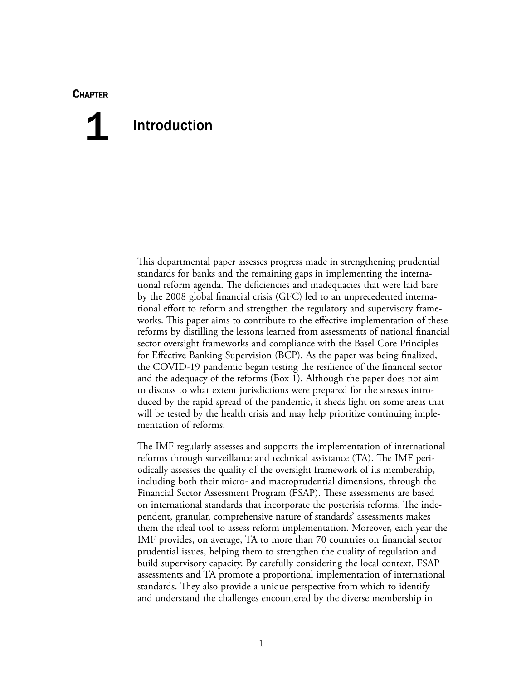#### **CHAPTER**

# Introduction 1

This departmental paper assesses progress made in strengthening prudential standards for banks and the remaining gaps in implementing the international reform agenda. The deficiencies and inadequacies that were laid bare by the 2008 global financial crisis (GFC) led to an unprecedented international effort to reform and strengthen the regulatory and supervisory frameworks. This paper aims to contribute to the effective implementation of these reforms by distilling the lessons learned from assessments of national financial sector oversight frameworks and compliance with the Basel Core Principles for Effective Banking Supervision (BCP). As the paper was being finalized, the COVID-19 pandemic began testing the resilience of the financial sector and the adequacy of the reforms (Box 1). Although the paper does not aim to discuss to what extent jurisdictions were prepared for the stresses introduced by the rapid spread of the pandemic, it sheds light on some areas that will be tested by the health crisis and may help prioritize continuing implementation of reforms.

The IMF regularly assesses and supports the implementation of international reforms through surveillance and technical assistance (TA). The IMF periodically assesses the quality of the oversight framework of its membership, including both their micro- and macroprudential dimensions, through the Financial Sector Assessment Program (FSAP). These assessments are based on international standards that incorporate the postcrisis reforms. The independent, granular, comprehensive nature of standards' assessments makes them the ideal tool to assess reform implementation. Moreover, each year the IMF provides, on average, TA to more than 70 countries on financial sector prudential issues, helping them to strengthen the quality of regulation and build supervisory capacity. By carefully considering the local context, FSAP assessments and TA promote a proportional implementation of international standards. They also provide a unique perspective from which to identify and understand the challenges encountered by the diverse membership in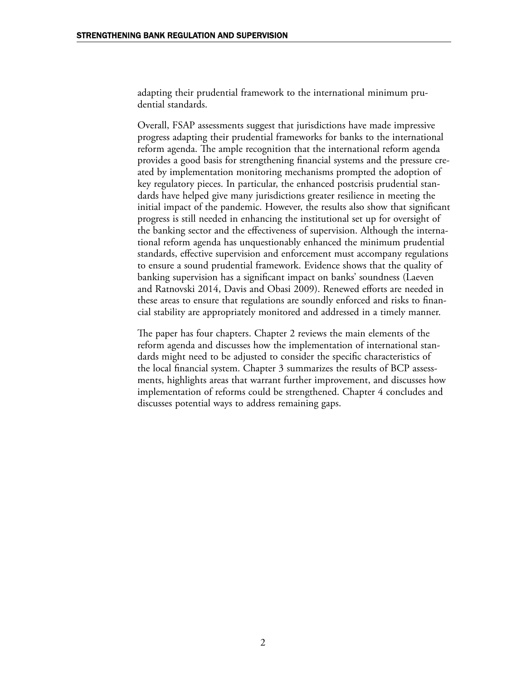adapting their prudential framework to the international minimum prudential standards.

Overall, FSAP assessments suggest that jurisdictions have made impressive progress adapting their prudential frameworks for banks to the international reform agenda. The ample recognition that the international reform agenda provides a good basis for strengthening financial systems and the pressure created by implementation monitoring mechanisms prompted the adoption of key regulatory pieces. In particular, the enhanced postcrisis prudential standards have helped give many jurisdictions greater resilience in meeting the initial impact of the pandemic. However, the results also show that significant progress is still needed in enhancing the institutional set up for oversight of the banking sector and the effectiveness of supervision. Although the international reform agenda has unquestionably enhanced the minimum prudential standards, effective supervision and enforcement must accompany regulations to ensure a sound prudential framework. Evidence shows that the quality of banking supervision has a significant impact on banks' soundness (Laeven and Ratnovski 2014, Davis and Obasi 2009). Renewed efforts are needed in these areas to ensure that regulations are soundly enforced and risks to financial stability are appropriately monitored and addressed in a timely manner.

The paper has four chapters. Chapter 2 reviews the main elements of the reform agenda and discusses how the implementation of international standards might need to be adjusted to consider the specific characteristics of the local financial system. Chapter 3 summarizes the results of BCP assessments, highlights areas that warrant further improvement, and discusses how implementation of reforms could be strengthened. Chapter 4 concludes and discusses potential ways to address remaining gaps.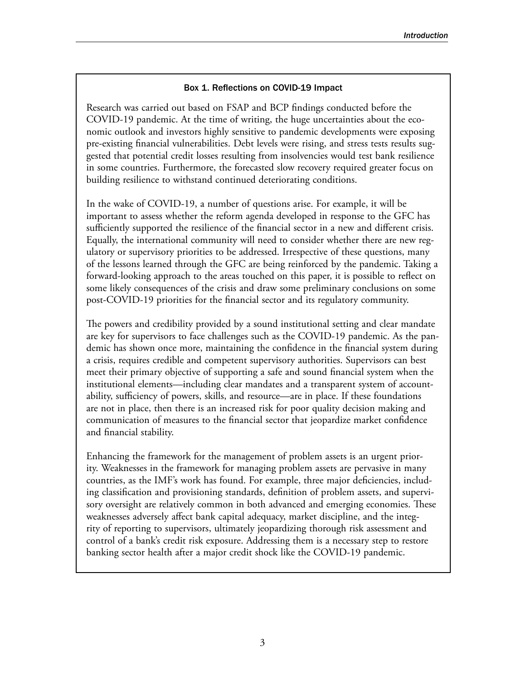#### Box 1. Reflections on COVID-19 Impact

Research was carried out based on FSAP and BCP findings conducted before the COVID-19 pandemic. At the time of writing, the huge uncertainties about the economic outlook and investors highly sensitive to pandemic developments were exposing pre-existing financial vulnerabilities. Debt levels were rising, and stress tests results suggested that potential credit losses resulting from insolvencies would test bank resilience in some countries. Furthermore, the forecasted slow recovery required greater focus on building resilience to withstand continued deteriorating conditions.

In the wake of COVID-19, a number of questions arise. For example, it will be important to assess whether the reform agenda developed in response to the GFC has sufficiently supported the resilience of the financial sector in a new and different crisis. Equally, the international community will need to consider whether there are new regulatory or supervisory priorities to be addressed. Irrespective of these questions, many of the lessons learned through the GFC are being reinforced by the pandemic. Taking a forward-looking approach to the areas touched on this paper, it is possible to reflect on some likely consequences of the crisis and draw some preliminary conclusions on some post-COVID-19 priorities for the financial sector and its regulatory community.

The powers and credibility provided by a sound institutional setting and clear mandate are key for supervisors to face challenges such as the COVID-19 pandemic. As the pandemic has shown once more, maintaining the confidence in the financial system during a crisis, requires credible and competent supervisory authorities. Supervisors can best meet their primary objective of supporting a safe and sound financial system when the institutional elements—including clear mandates and a transparent system of accountability, sufficiency of powers, skills, and resource—are in place. If these foundations are not in place, then there is an increased risk for poor quality decision making and communication of measures to the financial sector that jeopardize market confidence and financial stability.

Enhancing the framework for the management of problem assets is an urgent priority. Weaknesses in the framework for managing problem assets are pervasive in many countries, as the IMF's work has found. For example, three major deficiencies, including classification and provisioning standards, definition of problem assets, and supervisory oversight are relatively common in both advanced and emerging economies. These weaknesses adversely affect bank capital adequacy, market discipline, and the integrity of reporting to supervisors, ultimately jeopardizing thorough risk assessment and control of a bank's credit risk exposure. Addressing them is a necessary step to restore banking sector health after a major credit shock like the COVID-19 pandemic.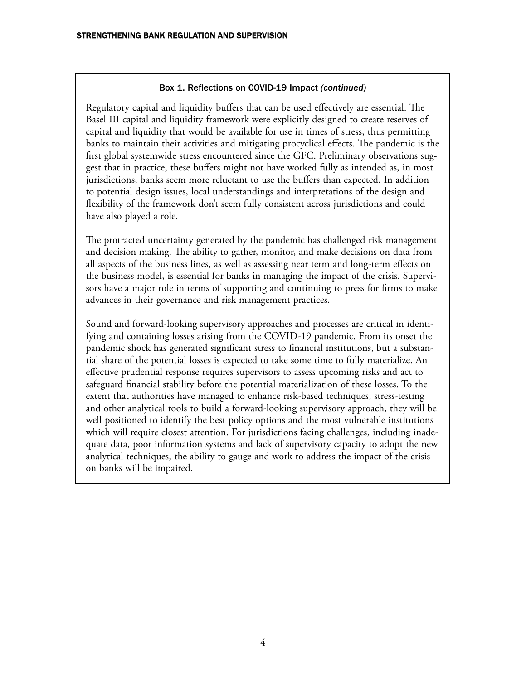#### Box 1. Reflections on COVID-19 Impact *(continued)*

Regulatory capital and liquidity buffers that can be used effectively are essential. The Basel III capital and liquidity framework were explicitly designed to create reserves of capital and liquidity that would be available for use in times of stress, thus permitting banks to maintain their activities and mitigating procyclical effects. The pandemic is the first global systemwide stress encountered since the GFC. Preliminary observations suggest that in practice, these buffers might not have worked fully as intended as, in most jurisdictions, banks seem more reluctant to use the buffers than expected. In addition to potential design issues, local understandings and interpretations of the design and flexibility of the framework don't seem fully consistent across jurisdictions and could have also played a role.

The protracted uncertainty generated by the pandemic has challenged risk management and decision making. The ability to gather, monitor, and make decisions on data from all aspects of the business lines, as well as assessing near term and long-term effects on the business model, is essential for banks in managing the impact of the crisis. Supervisors have a major role in terms of supporting and continuing to press for firms to make advances in their governance and risk management practices.

Sound and forward-looking supervisory approaches and processes are critical in identifying and containing losses arising from the COVID-19 pandemic. From its onset the pandemic shock has generated significant stress to financial institutions, but a substantial share of the potential losses is expected to take some time to fully materialize. An effective prudential response requires supervisors to assess upcoming risks and act to safeguard financial stability before the potential materialization of these losses. To the extent that authorities have managed to enhance risk-based techniques, stress-testing and other analytical tools to build a forward-looking supervisory approach, they will be well positioned to identify the best policy options and the most vulnerable institutions which will require closest attention. For jurisdictions facing challenges, including inadequate data, poor information systems and lack of supervisory capacity to adopt the new analytical techniques, the ability to gauge and work to address the impact of the crisis on banks will be impaired.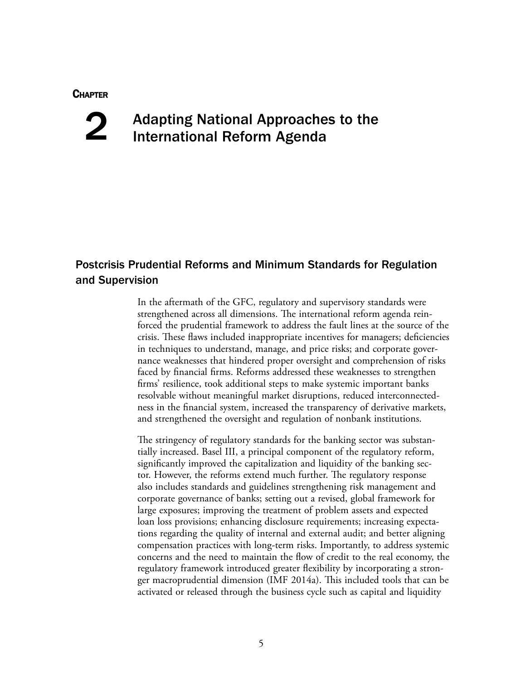#### **CHAPTER**

# 2

# Adapting National Approaches to the International Reform Agenda

## Postcrisis Prudential Reforms and Minimum Standards for Regulation and Supervision

In the aftermath of the GFC, regulatory and supervisory standards were strengthened across all dimensions. The international reform agenda reinforced the prudential framework to address the fault lines at the source of the crisis. These flaws included inappropriate incentives for managers; deficiencies in techniques to understand, manage, and price risks; and corporate governance weaknesses that hindered proper oversight and comprehension of risks faced by financial firms. Reforms addressed these weaknesses to strengthen firms' resilience, took additional steps to make systemic important banks resolvable without meaningful market disruptions, reduced interconnectedness in the financial system, increased the transparency of derivative markets, and strengthened the oversight and regulation of nonbank institutions.

The stringency of regulatory standards for the banking sector was substantially increased. Basel III, a principal component of the regulatory reform, significantly improved the capitalization and liquidity of the banking sector. However, the reforms extend much further. The regulatory response also includes standards and guidelines strengthening risk management and corporate governance of banks; setting out a revised, global framework for large exposures; improving the treatment of problem assets and expected loan loss provisions; enhancing disclosure requirements; increasing expectations regarding the quality of internal and external audit; and better aligning compensation practices with long-term risks. Importantly, to address systemic concerns and the need to maintain the flow of credit to the real economy, the regulatory framework introduced greater flexibility by incorporating a stronger macroprudential dimension (IMF 2014a). This included tools that can be activated or released through the business cycle such as capital and liquidity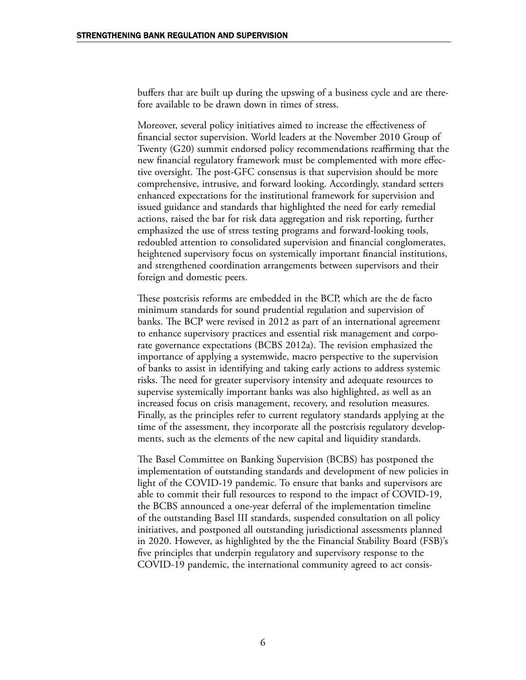buffers that are built up during the upswing of a business cycle and are therefore available to be drawn down in times of stress.

Moreover, several policy initiatives aimed to increase the effectiveness of financial sector supervision. World leaders at the November 2010 Group of Twenty (G20) summit endorsed policy recommendations reaffirming that the new financial regulatory framework must be complemented with more effective oversight. The post-GFC consensus is that supervision should be more comprehensive, intrusive, and forward looking. Accordingly, standard setters enhanced expectations for the institutional framework for supervision and issued guidance and standards that highlighted the need for early remedial actions, raised the bar for risk data aggregation and risk reporting, further emphasized the use of stress testing programs and forward-looking tools, redoubled attention to consolidated supervision and financial conglomerates, heightened supervisory focus on systemically important financial institutions, and strengthened coordination arrangements between supervisors and their foreign and domestic peers.

These postcrisis reforms are embedded in the BCP, which are the de facto minimum standards for sound prudential regulation and supervision of banks. The BCP were revised in 2012 as part of an international agreement to enhance supervisory practices and essential risk management and corporate governance expectations (BCBS 2012a). The revision emphasized the importance of applying a systemwide, macro perspective to the supervision of banks to assist in identifying and taking early actions to address systemic risks. The need for greater supervisory intensity and adequate resources to supervise systemically important banks was also highlighted, as well as an increased focus on crisis management, recovery, and resolution measures. Finally, as the principles refer to current regulatory standards applying at the time of the assessment, they incorporate all the postcrisis regulatory developments, such as the elements of the new capital and liquidity standards.

The Basel Committee on Banking Supervision (BCBS) has postponed the implementation of outstanding standards and development of new policies in light of the COVID-19 pandemic. To ensure that banks and supervisors are able to commit their full resources to respond to the impact of COVID-19, the BCBS announced a one-year deferral of the implementation timeline of the outstanding Basel III standards, suspended consultation on all policy initiatives, and postponed all outstanding jurisdictional assessments planned in 2020. However, as highlighted by the the Financial Stability Board (FSB)'s five principles that underpin regulatory and supervisory response to the COVID-19 pandemic, the international community agreed to act consis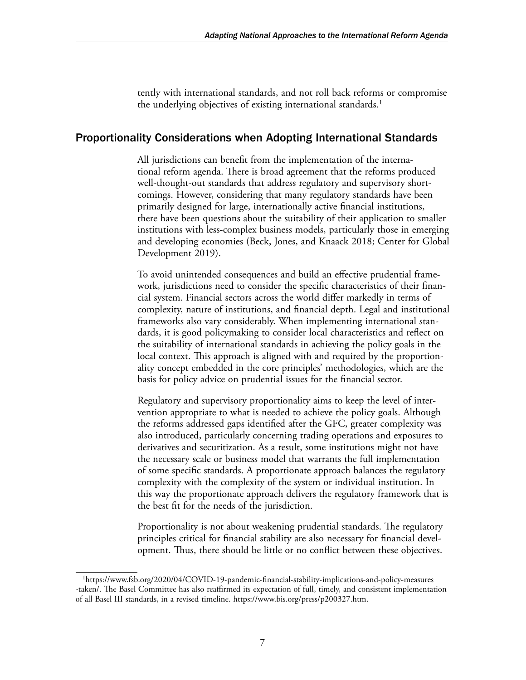tently with international standards, and not roll back reforms or compromise the underlying objectives of existing international standards.<sup>1</sup>

## Proportionality Considerations when Adopting International Standards

All jurisdictions can benefit from the implementation of the international reform agenda. There is broad agreement that the reforms produced well-thought-out standards that address regulatory and supervisory shortcomings. However, considering that many regulatory standards have been primarily designed for large, internationally active financial institutions, there have been questions about the suitability of their application to smaller institutions with less-complex business models, particularly those in emerging and developing economies (Beck, Jones, and Knaack 2018; Center for Global Development 2019).

To avoid unintended consequences and build an effective prudential framework, jurisdictions need to consider the specific characteristics of their financial system. Financial sectors across the world differ markedly in terms of complexity, nature of institutions, and financial depth. Legal and institutional frameworks also vary considerably. When implementing international standards, it is good policymaking to consider local characteristics and reflect on the suitability of international standards in achieving the policy goals in the local context. This approach is aligned with and required by the proportionality concept embedded in the core principles' methodologies, which are the basis for policy advice on prudential issues for the financial sector.

Regulatory and supervisory proportionality aims to keep the level of intervention appropriate to what is needed to achieve the policy goals. Although the reforms addressed gaps identified after the GFC, greater complexity was also introduced, particularly concerning trading operations and exposures to derivatives and securitization. As a result, some institutions might not have the necessary scale or business model that warrants the full implementation of some specific standards. A proportionate approach balances the regulatory complexity with the complexity of the system or individual institution. In this way the proportionate approach delivers the regulatory framework that is the best fit for the needs of the jurisdiction.

Proportionality is not about weakening prudential standards. The regulatory principles critical for financial stability are also necessary for financial development. Thus, there should be little or no conflict between these objectives.

<sup>1</sup>[https://www.fsb.org/2020/04/COVID-19-pandemic-financial-stability-implications-and-policy-measures](https://www.fsb.org/2020/04/covid-19-pandemic-financial-stability-implications-and-policy-measures-taken/) [-taken/.](https://www.fsb.org/2020/04/covid-19-pandemic-financial-stability-implications-and-policy-measures-taken/) The Basel Committee has also reaffirmed its expectation of full, timely, and consistent implementation of all Basel III standards, in a revised timeline. [https://www.bis.org/press/p200327.htm.](https://www.bis.org/press/p200327.htm)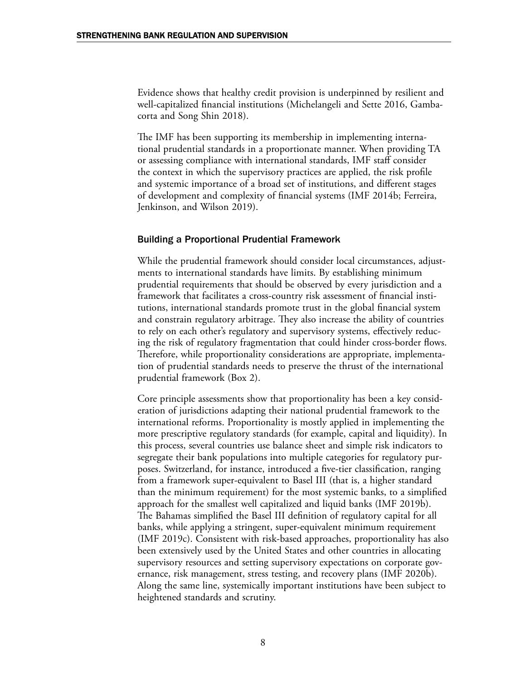Evidence shows that healthy credit provision is underpinned by resilient and well-capitalized financial institutions (Michelangeli and Sette 2016, Gambacorta and Song Shin 2018).

The IMF has been supporting its membership in implementing international prudential standards in a proportionate manner. When providing TA or assessing compliance with international standards, IMF staff consider the context in which the supervisory practices are applied, the risk profile and systemic importance of a broad set of institutions, and different stages of development and complexity of financial systems (IMF 2014b; Ferreira, Jenkinson, and Wilson 2019).

#### Building a Proportional Prudential Framework

While the prudential framework should consider local circumstances, adjustments to international standards have limits. By establishing minimum prudential requirements that should be observed by every jurisdiction and a framework that facilitates a cross-country risk assessment of financial institutions, international standards promote trust in the global financial system and constrain regulatory arbitrage. They also increase the ability of countries to rely on each other's regulatory and supervisory systems, effectively reducing the risk of regulatory fragmentation that could hinder cross-border flows. Therefore, while proportionality considerations are appropriate, implementation of prudential standards needs to preserve the thrust of the international prudential framework (Box 2).

Core principle assessments show that proportionality has been a key consideration of jurisdictions adapting their national prudential framework to the international reforms. Proportionality is mostly applied in implementing the more prescriptive regulatory standards (for example, capital and liquidity). In this process, several countries use balance sheet and simple risk indicators to segregate their bank populations into multiple categories for regulatory purposes. Switzerland, for instance, introduced a five-tier classification, ranging from a framework super-equivalent to Basel III (that is, a higher standard than the minimum requirement) for the most systemic banks, to a simplified approach for the smallest well capitalized and liquid banks (IMF 2019b). The Bahamas simplified the Basel III definition of regulatory capital for all banks, while applying a stringent, super-equivalent minimum requirement (IMF 2019c). Consistent with risk-based approaches, proportionality has also been extensively used by the United States and other countries in allocating supervisory resources and setting supervisory expectations on corporate governance, risk management, stress testing, and recovery plans (IMF 2020b). Along the same line, systemically important institutions have been subject to heightened standards and scrutiny.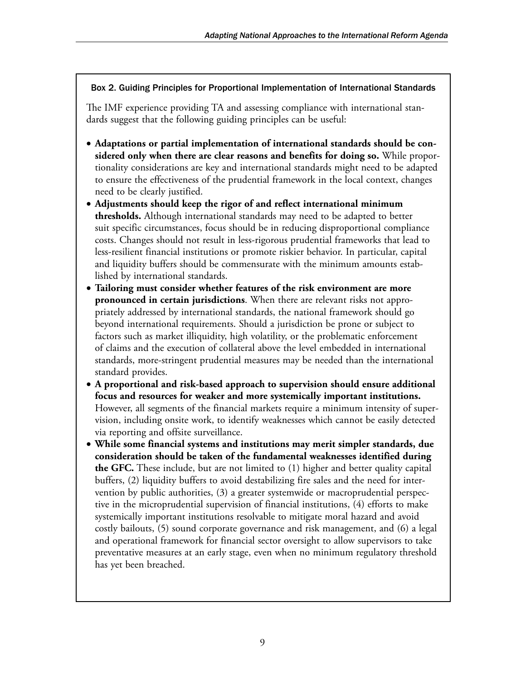#### Box 2. Guiding Principles for Proportional Implementation of International Standards

The IMF experience providing TA and assessing compliance with international standards suggest that the following guiding principles can be useful:

- **Adaptations or partial implementation of international standards should be considered only when there are clear reasons and benefits for doing so.** While proportionality considerations are key and international standards might need to be adapted to ensure the effectiveness of the prudential framework in the local context, changes need to be clearly justified.
- **Adjustments should keep the rigor of and reflect international minimum thresholds.** Although international standards may need to be adapted to better suit specific circumstances, focus should be in reducing disproportional compliance costs. Changes should not result in less-rigorous prudential frameworks that lead to less-resilient financial institutions or promote riskier behavior. In particular, capital and liquidity buffers should be commensurate with the minimum amounts established by international standards.
- **Tailoring must consider whether features of the risk environment are more pronounced in certain jurisdictions**. When there are relevant risks not appropriately addressed by international standards, the national framework should go beyond international requirements. Should a jurisdiction be prone or subject to factors such as market illiquidity, high volatility, or the problematic enforcement of claims and the execution of collateral above the level embedded in international standards, more-stringent prudential measures may be needed than the international standard provides.
- **A proportional and risk-based approach to supervision should ensure additional focus and resources for weaker and more systemically important institutions.** However, all segments of the financial markets require a minimum intensity of supervision, including onsite work, to identify weaknesses which cannot be easily detected via reporting and offsite surveillance.
- **While some financial systems and institutions may merit simpler standards, due consideration should be taken of the fundamental weaknesses identified during the GFC.** These include, but are not limited to (1) higher and better quality capital buffers, (2) liquidity buffers to avoid destabilizing fire sales and the need for intervention by public authorities, (3) a greater systemwide or macroprudential perspective in the microprudential supervision of financial institutions, (4) efforts to make systemically important institutions resolvable to mitigate moral hazard and avoid costly bailouts, (5) sound corporate governance and risk management, and (6) a legal and operational framework for financial sector oversight to allow supervisors to take preventative measures at an early stage, even when no minimum regulatory threshold has yet been breached.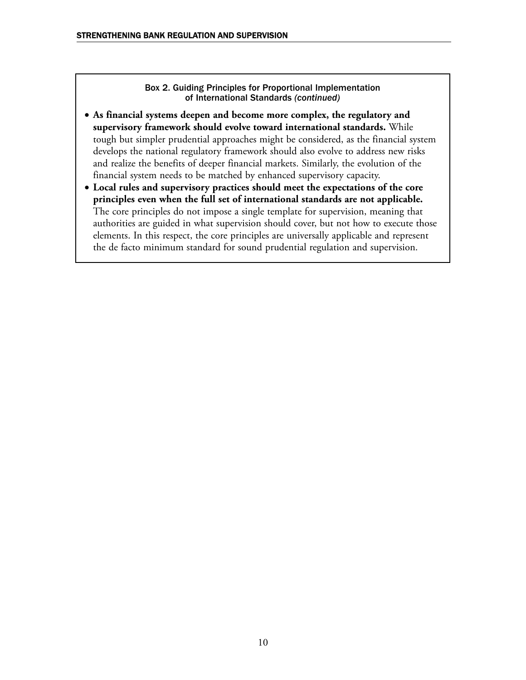Box 2. Guiding Principles for Proportional Implementation of International Standards *(continued)*

- **As financial systems deepen and become more complex, the regulatory and supervisory framework should evolve toward international standards.** While tough but simpler prudential approaches might be considered, as the financial system develops the national regulatory framework should also evolve to address new risks and realize the benefits of deeper financial markets. Similarly, the evolution of the financial system needs to be matched by enhanced supervisory capacity.
- **Local rules and supervisory practices should meet the expectations of the core principles even when the full set of international standards are not applicable.** The core principles do not impose a single template for supervision, meaning that authorities are guided in what supervision should cover, but not how to execute those elements. In this respect, the core principles are universally applicable and represent the de facto minimum standard for sound prudential regulation and supervision.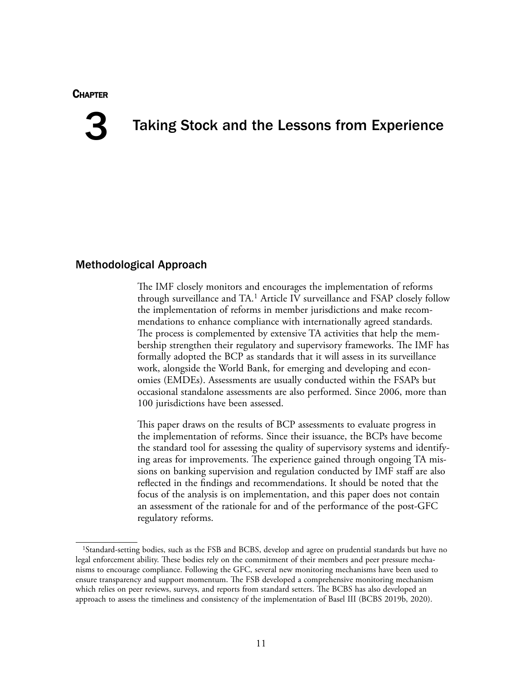#### **CHAPTER**



# Taking Stock and the Lessons from Experience

#### Methodological Approach

The IMF closely monitors and encourages the implementation of reforms through surveillance and TA.1 Article IV surveillance and FSAP closely follow the implementation of reforms in member jurisdictions and make recommendations to enhance compliance with internationally agreed standards. The process is complemented by extensive TA activities that help the membership strengthen their regulatory and supervisory frameworks. The IMF has formally adopted the BCP as standards that it will assess in its surveillance work, alongside the World Bank, for emerging and developing and economies (EMDEs). Assessments are usually conducted within the FSAPs but occasional standalone assessments are also performed. Since 2006, more than 100 jurisdictions have been assessed.

This paper draws on the results of BCP assessments to evaluate progress in the implementation of reforms. Since their issuance, the BCPs have become the standard tool for assessing the quality of supervisory systems and identifying areas for improvements. The experience gained through ongoing TA missions on banking supervision and regulation conducted by IMF staff are also reflected in the findings and recommendations. It should be noted that the focus of the analysis is on implementation, and this paper does not contain an assessment of the rationale for and of the performance of the post-GFC regulatory reforms.

<sup>1</sup>Standard-setting bodies, such as the FSB and BCBS, develop and agree on prudential standards but have no legal enforcement ability. These bodies rely on the commitment of their members and peer pressure mechanisms to encourage compliance. Following the GFC, several new monitoring mechanisms have been used to ensure transparency and support momentum. The FSB developed a comprehensive monitoring mechanism which relies on peer reviews, surveys, and reports from standard setters. The BCBS has also developed an approach to assess the timeliness and consistency of the implementation of Basel III (BCBS 2019b, 2020).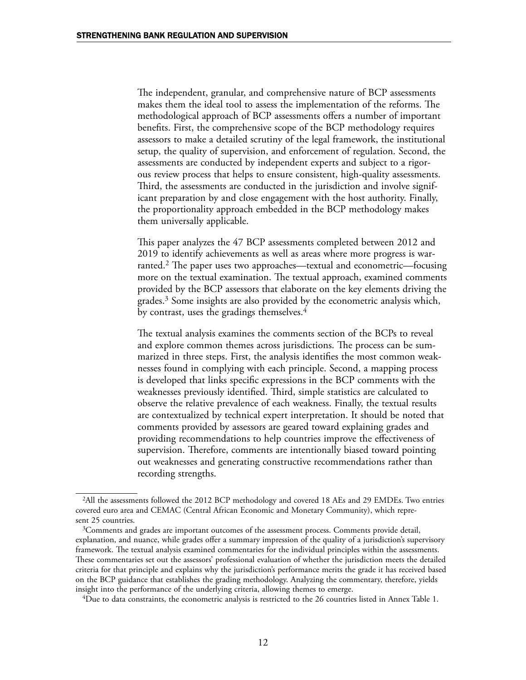The independent, granular, and comprehensive nature of BCP assessments makes them the ideal tool to assess the implementation of the reforms. The methodological approach of BCP assessments offers a number of important benefits. First, the comprehensive scope of the BCP methodology requires assessors to make a detailed scrutiny of the legal framework, the institutional setup, the quality of supervision, and enforcement of regulation. Second, the assessments are conducted by independent experts and subject to a rigorous review process that helps to ensure consistent, high-quality assessments. Third, the assessments are conducted in the jurisdiction and involve significant preparation by and close engagement with the host authority. Finally, the proportionality approach embedded in the BCP methodology makes them universally applicable.

This paper analyzes the 47 BCP assessments completed between 2012 and 2019 to identify achievements as well as areas where more progress is warranted.2 The paper uses two approaches—textual and econometric—focusing more on the textual examination. The textual approach, examined comments provided by the BCP assessors that elaborate on the key elements driving the grades.3 Some insights are also provided by the econometric analysis which, by contrast, uses the gradings themselves.<sup>4</sup>

The textual analysis examines the comments section of the BCPs to reveal and explore common themes across jurisdictions. The process can be summarized in three steps. First, the analysis identifies the most common weaknesses found in complying with each principle. Second, a mapping process is developed that links specific expressions in the BCP comments with the weaknesses previously identified. Third, simple statistics are calculated to observe the relative prevalence of each weakness. Finally, the textual results are contextualized by technical expert interpretation. It should be noted that comments provided by assessors are geared toward explaining grades and providing recommendations to help countries improve the effectiveness of supervision. Therefore, comments are intentionally biased toward pointing out weaknesses and generating constructive recommendations rather than recording strengths.

4Due to data constraints, the econometric analysis is restricted to the 26 countries listed in Annex Table 1.

<sup>2</sup>All the assessments followed the 2012 BCP methodology and covered 18 AEs and 29 EMDEs. Two entries covered euro area and CEMAC (Central African Economic and Monetary Community), which represent 25 countries.

 $3$ Comments and grades are important outcomes of the assessment process. Comments provide detail, explanation, and nuance, while grades offer a summary impression of the quality of a jurisdiction's supervisory framework. The textual analysis examined commentaries for the individual principles within the assessments. These commentaries set out the assessors' professional evaluation of whether the jurisdiction meets the detailed criteria for that principle and explains why the jurisdiction's performance merits the grade it has received based on the BCP guidance that establishes the grading methodology. Analyzing the commentary, therefore, yields insight into the performance of the underlying criteria, allowing themes to emerge.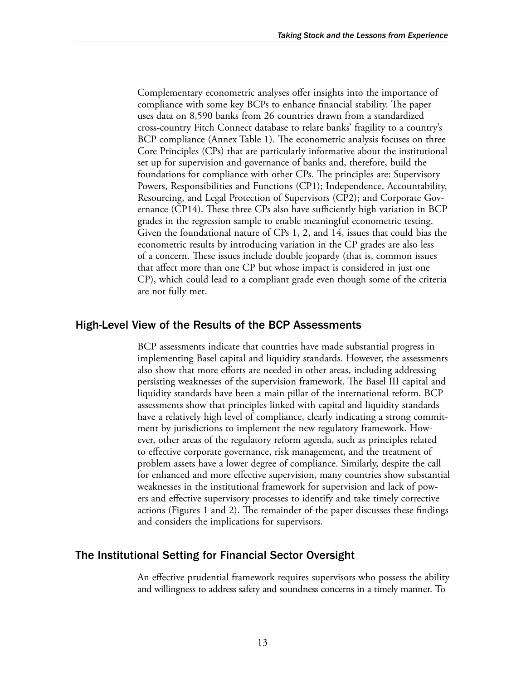Complementary econometric analyses offer insights into the importance of compliance with some key BCPs to enhance financial stability. The paper uses data on 8,590 banks from 26 countries drawn from a standardized cross-country Fitch Connect database to relate banks' fragility to a country's BCP compliance (Annex Table 1). The econometric analysis focuses on three Core Principles (CPs) that are particularly informative about the institutional set up for supervision and governance of banks and, therefore, build the foundations for compliance with other CPs. The principles are: Supervisory Powers, Responsibilities and Functions (CP1); Independence, Accountability, Resourcing, and Legal Protection of Supervisors (CP2); and Corporate Governance (CP14). These three CPs also have sufficiently high variation in BCP grades in the regression sample to enable meaningful econometric testing. Given the foundational nature of CPs 1, 2, and 14, issues that could bias the econometric results by introducing variation in the CP grades are also less of a concern. These issues include double jeopardy (that is, common issues that affect more than one CP but whose impact is considered in just one CP), which could lead to a compliant grade even though some of the criteria are not fully met.

#### High-Level View of the Results of the BCP Assessments

BCP assessments indicate that countries have made substantial progress in implementing Basel capital and liquidity standards. However, the assessments also show that more efforts are needed in other areas, including addressing persisting weaknesses of the supervision framework. The Basel III capital and liquidity standards have been a main pillar of the international reform. BCP assessments show that principles linked with capital and liquidity standards have a relatively high level of compliance, clearly indicating a strong commitment by jurisdictions to implement the new regulatory framework. However, other areas of the regulatory reform agenda, such as principles related to effective corporate governance, risk management, and the treatment of problem assets have a lower degree of compliance. Similarly, despite the call for enhanced and more effective supervision, many countries show substantial weaknesses in the institutional framework for supervision and lack of powers and effective supervisory processes to identify and take timely corrective actions (Figures 1 and 2). The remainder of the paper discusses these findings and considers the implications for supervisors.

#### The Institutional Setting for Financial Sector Oversight

An effective prudential framework requires supervisors who possess the ability and willingness to address safety and soundness concerns in a timely manner. To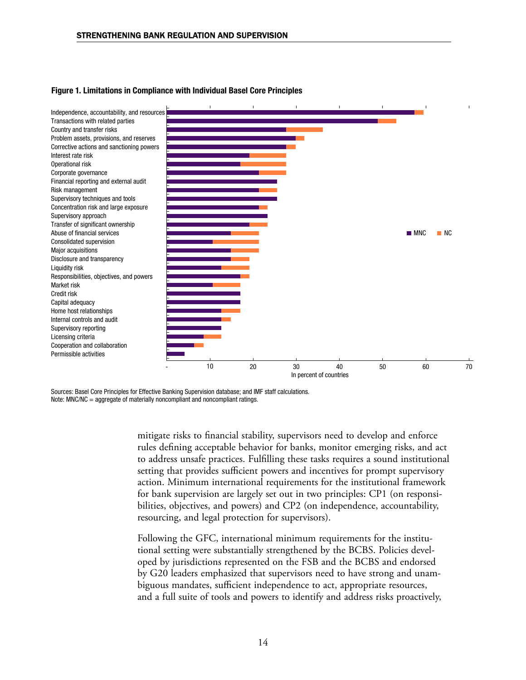

#### Figure 1. Limitations in Compliance with Individual Basel Core Principles

Sources: Basel Core Principles for Effective Banking Supervision database; and IMF staff calculations. Note: MNC/NC = aggregate of materially noncompliant and noncompliant ratings.

> mitigate risks to financial stability, supervisors need to develop and enforce rules defining acceptable behavior for banks, monitor emerging risks, and act to address unsafe practices. Fulfilling these tasks requires a sound institutional setting that provides sufficient powers and incentives for prompt supervisory action. Minimum international requirements for the institutional framework for bank supervision are largely set out in two principles: CP1 (on responsibilities, objectives, and powers) and CP2 (on independence, accountability, resourcing, and legal protection for supervisors).

Following the GFC, international minimum requirements for the institutional setting were substantially strengthened by the BCBS. Policies developed by jurisdictions represented on the FSB and the BCBS and endorsed by G20 leaders emphasized that supervisors need to have strong and unambiguous mandates, sufficient independence to act, appropriate resources, and a full suite of tools and powers to identify and address risks proactively,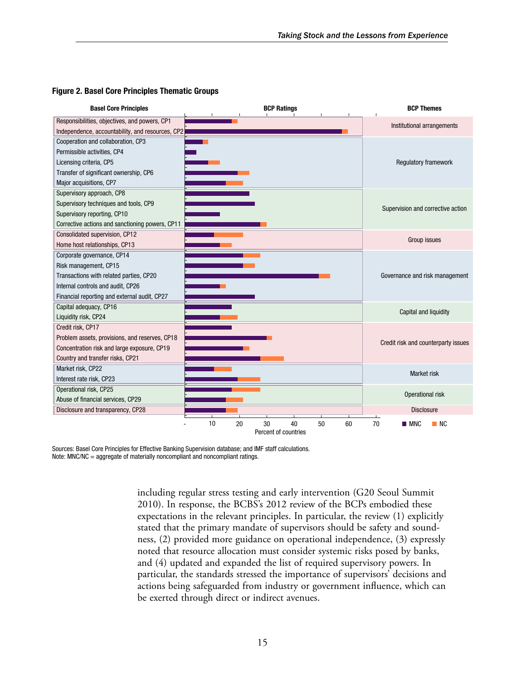

#### Figure 2. Basel Core Principles Thematic Groups

Sources: Basel Core Principles for Effective Banking Supervision database; and IMF staff calculations. Note: MNC/NC = aggregate of materially noncompliant and noncompliant ratings.

> including regular stress testing and early intervention (G20 Seoul Summit 2010). In response, the BCBS's 2012 review of the BCPs embodied these expectations in the relevant principles. In particular, the review (1) explicitly stated that the primary mandate of supervisors should be safety and soundness, (2) provided more guidance on operational independence, (3) expressly noted that resource allocation must consider systemic risks posed by banks, and (4) updated and expanded the list of required supervisory powers. In particular, the standards stressed the importance of supervisors' decisions and actions being safeguarded from industry or government influence, which can be exerted through direct or indirect avenues.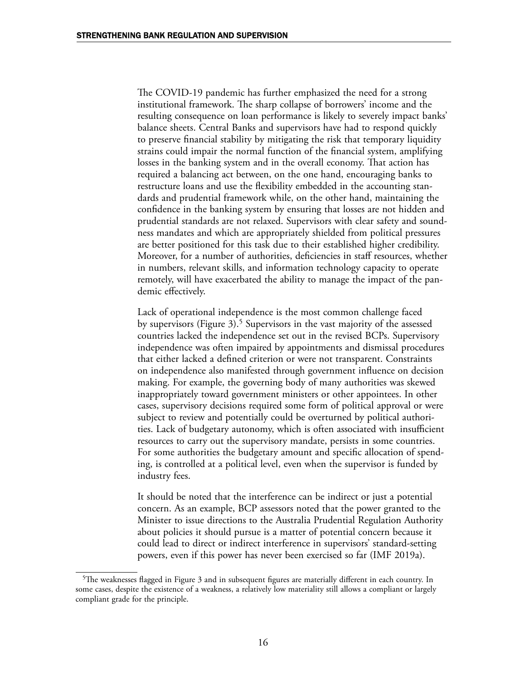The COVID-19 pandemic has further emphasized the need for a strong institutional framework. The sharp collapse of borrowers' income and the resulting consequence on loan performance is likely to severely impact banks' balance sheets. Central Banks and supervisors have had to respond quickly to preserve financial stability by mitigating the risk that temporary liquidity strains could impair the normal function of the financial system, amplifying losses in the banking system and in the overall economy. That action has required a balancing act between, on the one hand, encouraging banks to restructure loans and use the flexibility embedded in the accounting standards and prudential framework while, on the other hand, maintaining the confidence in the banking system by ensuring that losses are not hidden and prudential standards are not relaxed. Supervisors with clear safety and soundness mandates and which are appropriately shielded from political pressures are better positioned for this task due to their established higher credibility. Moreover, for a number of authorities, deficiencies in staff resources, whether in numbers, relevant skills, and information technology capacity to operate remotely, will have exacerbated the ability to manage the impact of the pandemic effectively.

Lack of operational independence is the most common challenge faced by supervisors (Figure 3).<sup>5</sup> Supervisors in the vast majority of the assessed countries lacked the independence set out in the revised BCPs. Supervisory independence was often impaired by appointments and dismissal procedures that either lacked a defined criterion or were not transparent. Constraints on independence also manifested through government influence on decision making. For example, the governing body of many authorities was skewed inappropriately toward government ministers or other appointees. In other cases, supervisory decisions required some form of political approval or were subject to review and potentially could be overturned by political authorities. Lack of budgetary autonomy, which is often associated with insufficient resources to carry out the supervisory mandate, persists in some countries. For some authorities the budgetary amount and specific allocation of spending, is controlled at a political level, even when the supervisor is funded by industry fees.

It should be noted that the interference can be indirect or just a potential concern. As an example, BCP assessors noted that the power granted to the Minister to issue directions to the Australia Prudential Regulation Authority about policies it should pursue is a matter of potential concern because it could lead to direct or indirect interference in supervisors' standard-setting powers, even if this power has never been exercised so far (IMF 2019a).

<sup>5</sup>The weaknesses flagged in Figure 3 and in subsequent figures are materially different in each country. In some cases, despite the existence of a weakness, a relatively low materiality still allows a compliant or largely compliant grade for the principle.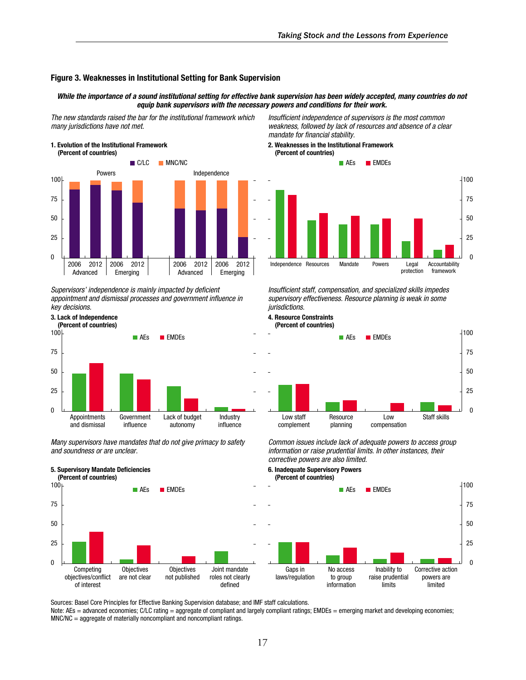#### Figure 3. Weaknesses in Institutional Setting for Bank Supervision

#### *While the importance of a sound institutional setting for effective bank supervision has been widely accepted, many countries do not equip bank supervisors with the necessary powers and conditions for their work.*

*The new standards raised the bar for the institutional framework which many jurisdictions have not met.*





Supervisors' independence is mainly impacted by deficient appointment and dismissal processes and government influence in *key decisions.*



5. Supervisory Mandate Deficiencies



Many supervisors have mandates that do not give primacy to safety *and soundness or are unclear.*



Insufficient independence of supervisors is the most common *weakness, followed by lack of resources and absence of a clear*  mandate for financial stability.

#### 2. Weaknesses in the Institutional Framework (Percent of countries)



Insufficient staff, compensation, and specialized skills impedes supervisory effectiveness. Resource planning is weak in some *jurisdictions.*



Common issues include lack of adequate powers to access group information or raise prudential limits. In other instances, their corrective powers are also limited.

6. Inadequate Supervisory Powers



Sources: Basel Core Principles for Effective Banking Supervision database; and IMF staff calculations.

Note: AEs = advanced economies; C/LC rating = aggregate of compliant and largely compliant ratings; EMDEs = emerging market and developing economies; MNC/NC = aggregate of materially noncompliant and noncompliant ratings.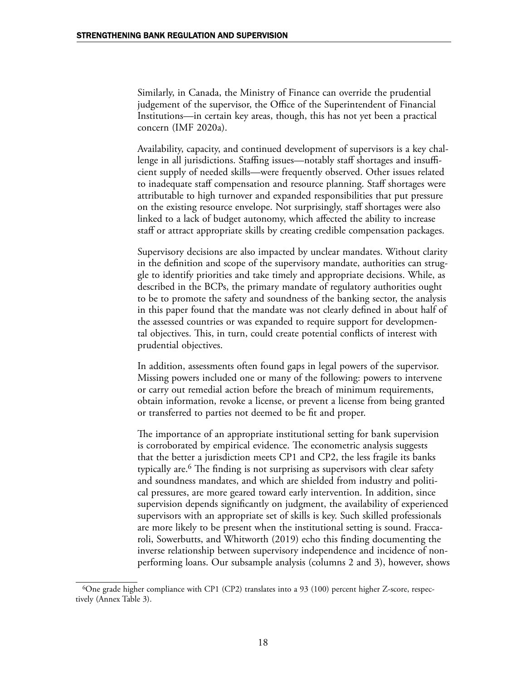Similarly, in Canada, the Ministry of Finance can override the prudential judgement of the supervisor, the Office of the Superintendent of Financial Institutions—in certain key areas, though, this has not yet been a practical concern (IMF 2020a).

Availability, capacity, and continued development of supervisors is a key challenge in all jurisdictions. Staffing issues—notably staff shortages and insufficient supply of needed skills—were frequently observed. Other issues related to inadequate staff compensation and resource planning. Staff shortages were attributable to high turnover and expanded responsibilities that put pressure on the existing resource envelope. Not surprisingly, staff shortages were also linked to a lack of budget autonomy, which affected the ability to increase staff or attract appropriate skills by creating credible compensation packages.

Supervisory decisions are also impacted by unclear mandates. Without clarity in the definition and scope of the supervisory mandate, authorities can struggle to identify priorities and take timely and appropriate decisions. While, as described in the BCPs, the primary mandate of regulatory authorities ought to be to promote the safety and soundness of the banking sector, the analysis in this paper found that the mandate was not clearly defined in about half of the assessed countries or was expanded to require support for developmental objectives. This, in turn, could create potential conflicts of interest with prudential objectives.

In addition, assessments often found gaps in legal powers of the supervisor. Missing powers included one or many of the following: powers to intervene or carry out remedial action before the breach of minimum requirements, obtain information, revoke a license, or prevent a license from being granted or transferred to parties not deemed to be fit and proper.

The importance of an appropriate institutional setting for bank supervision is corroborated by empirical evidence. The econometric analysis suggests that the better a jurisdiction meets CP1 and CP2, the less fragile its banks typically are.6 The finding is not surprising as supervisors with clear safety and soundness mandates, and which are shielded from industry and political pressures, are more geared toward early intervention. In addition, since supervision depends significantly on judgment, the availability of experienced supervisors with an appropriate set of skills is key. Such skilled professionals are more likely to be present when the institutional setting is sound. Fraccaroli, Sowerbutts, and Whitworth (2019) echo this finding documenting the inverse relationship between supervisory independence and incidence of nonperforming loans. Our subsample analysis (columns 2 and 3), however, shows

<sup>&</sup>lt;sup>6</sup>One grade higher compliance with CP1 (CP2) translates into a 93 (100) percent higher Z-score, respectively (Annex Table 3).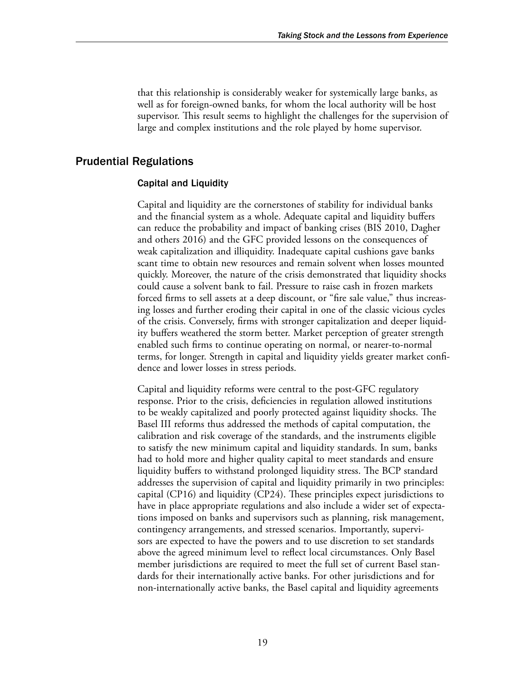that this relationship is considerably weaker for systemically large banks, as well as for foreign-owned banks, for whom the local authority will be host supervisor. This result seems to highlight the challenges for the supervision of large and complex institutions and the role played by home supervisor.

#### Prudential Regulations

#### Capital and Liquidity

Capital and liquidity are the cornerstones of stability for individual banks and the financial system as a whole. Adequate capital and liquidity buffers can reduce the probability and impact of banking crises (BIS 2010, Dagher and others 2016) and the GFC provided lessons on the consequences of weak capitalization and illiquidity. Inadequate capital cushions gave banks scant time to obtain new resources and remain solvent when losses mounted quickly. Moreover, the nature of the crisis demonstrated that liquidity shocks could cause a solvent bank to fail. Pressure to raise cash in frozen markets forced firms to sell assets at a deep discount, or "fire sale value," thus increasing losses and further eroding their capital in one of the classic vicious cycles of the crisis. Conversely, firms with stronger capitalization and deeper liquidity buffers weathered the storm better. Market perception of greater strength enabled such firms to continue operating on normal, or nearer-to-normal terms, for longer. Strength in capital and liquidity yields greater market confidence and lower losses in stress periods.

Capital and liquidity reforms were central to the post-GFC regulatory response. Prior to the crisis, deficiencies in regulation allowed institutions to be weakly capitalized and poorly protected against liquidity shocks. The Basel III reforms thus addressed the methods of capital computation, the calibration and risk coverage of the standards, and the instruments eligible to satisfy the new minimum capital and liquidity standards. In sum, banks had to hold more and higher quality capital to meet standards and ensure liquidity buffers to withstand prolonged liquidity stress. The BCP standard addresses the supervision of capital and liquidity primarily in two principles: capital (CP16) and liquidity (CP24). These principles expect jurisdictions to have in place appropriate regulations and also include a wider set of expectations imposed on banks and supervisors such as planning, risk management, contingency arrangements, and stressed scenarios. Importantly, supervisors are expected to have the powers and to use discretion to set standards above the agreed minimum level to reflect local circumstances. Only Basel member jurisdictions are required to meet the full set of current Basel standards for their internationally active banks. For other jurisdictions and for non-internationally active banks, the Basel capital and liquidity agreements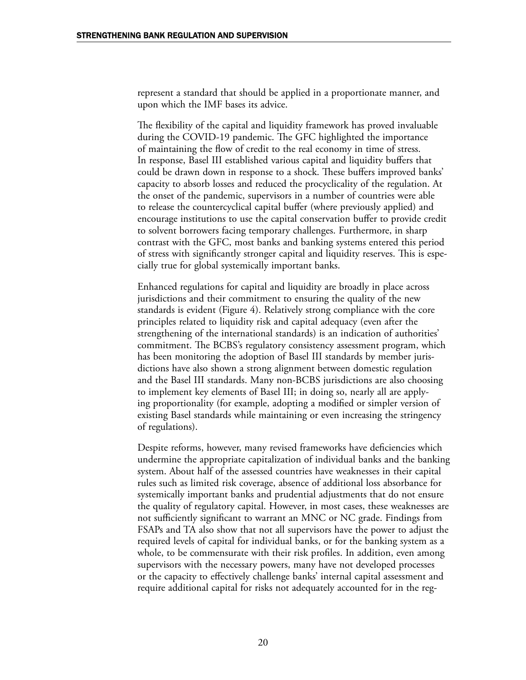represent a standard that should be applied in a proportionate manner, and upon which the IMF bases its advice.

The flexibility of the capital and liquidity framework has proved invaluable during the COVID-19 pandemic. The GFC highlighted the importance of maintaining the flow of credit to the real economy in time of stress. In response, Basel III established various capital and liquidity buffers that could be drawn down in response to a shock. These buffers improved banks' capacity to absorb losses and reduced the procyclicality of the regulation. At the onset of the pandemic, supervisors in a number of countries were able to release the countercyclical capital buffer (where previously applied) and encourage institutions to use the capital conservation buffer to provide credit to solvent borrowers facing temporary challenges. Furthermore, in sharp contrast with the GFC, most banks and banking systems entered this period of stress with significantly stronger capital and liquidity reserves. This is especially true for global systemically important banks.

Enhanced regulations for capital and liquidity are broadly in place across jurisdictions and their commitment to ensuring the quality of the new standards is evident (Figure 4). Relatively strong compliance with the core principles related to liquidity risk and capital adequacy (even after the strengthening of the international standards) is an indication of authorities' commitment. The BCBS's regulatory consistency assessment program, which has been monitoring the adoption of Basel III standards by member jurisdictions have also shown a strong alignment between domestic regulation and the Basel III standards. Many non-BCBS jurisdictions are also choosing to implement key elements of Basel III; in doing so, nearly all are applying proportionality (for example, adopting a modified or simpler version of existing Basel standards while maintaining or even increasing the stringency of regulations).

Despite reforms, however, many revised frameworks have deficiencies which undermine the appropriate capitalization of individual banks and the banking system. About half of the assessed countries have weaknesses in their capital rules such as limited risk coverage, absence of additional loss absorbance for systemically important banks and prudential adjustments that do not ensure the quality of regulatory capital. However, in most cases, these weaknesses are not sufficiently significant to warrant an MNC or NC grade. Findings from FSAPs and TA also show that not all supervisors have the power to adjust the required levels of capital for individual banks, or for the banking system as a whole, to be commensurate with their risk profiles. In addition, even among supervisors with the necessary powers, many have not developed processes or the capacity to effectively challenge banks' internal capital assessment and require additional capital for risks not adequately accounted for in the reg-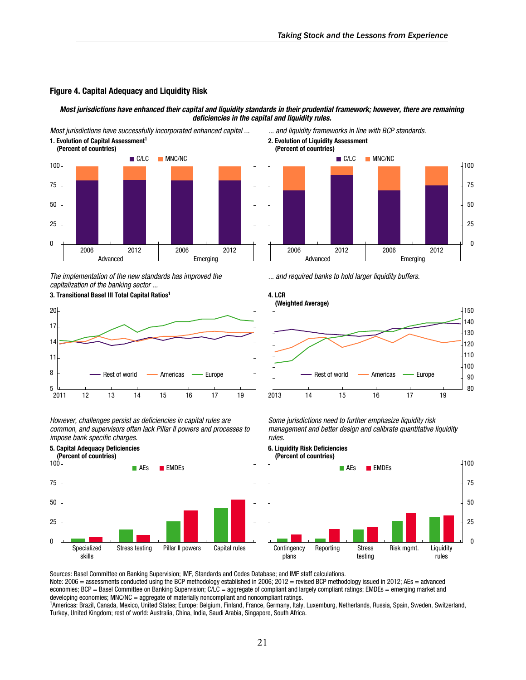#### Figure 4. Capital Adequacy and Liquidity Risk

*Most jurisdictions have enhanced their capital and liquidity standards in their prudential framework; however, there are remaining*  deficiencies in the capital and liquidity rules.



*The implementation of the new standards has improved the capitalization of the banking sector ...*

3. Transitional Basel III Total Capital Ratios<sup>1</sup> 4. LCR



However, challenges persist as deficiencies in capital rules are *common, and supervisors often lack Pillar II powers and processes to*  impose bank specific charges.



2. Evolution of Liquidity Assessment



*... and required banks to hold larger liquidity buffers.*



*Some jurisdictions need to further emphasize liquidity risk management and better design and calibrate quantitative liquidity rules.*

6. Liquidity Risk Deficiencies (Percent of countries)



Sources: Basel Committee on Banking Supervision; IMF, Standards and Codes Database; and IMF staff calculations.

Note: 2006 = assessments conducted using the BCP methodology established in 2006; 2012 = revised BCP methodology issued in 2012; AEs = advanced economies; BCP = Basel Committee on Banking Supervision;  $C\overline{LC}$  = aggregate of compliant and largely compliant ratings; EMDEs = emerging market and developing economies; MNC/NC = aggregate of materially noncompliant and noncompliant ratings.

<sup>1</sup>Americas: Brazil, Canada, Mexico, United States; Europe: Belgium, Finland, France, Germany, Italy, Luxemburg, Netherlands, Russia, Spain, Sweden, Switzerland, Turkey, United Kingdom; rest of world: Australia, China, India, Saudi Arabia, Singapore, South Africa.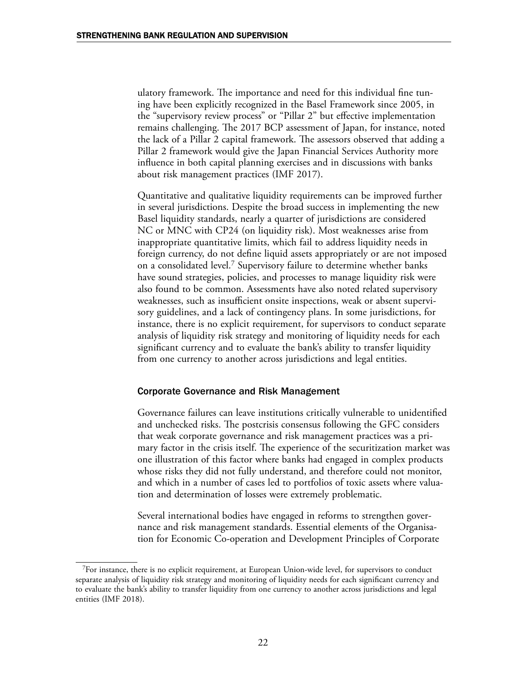ulatory framework. The importance and need for this individual fine tuning have been explicitly recognized in the Basel Framework since 2005, in the "supervisory review process" or "Pillar 2" but effective implementation remains challenging. The 2017 BCP assessment of Japan, for instance, noted the lack of a Pillar 2 capital framework. The assessors observed that adding a Pillar 2 framework would give the Japan Financial Services Authority more influence in both capital planning exercises and in discussions with banks about risk management practices (IMF 2017).

Quantitative and qualitative liquidity requirements can be improved further in several jurisdictions. Despite the broad success in implementing the new Basel liquidity standards, nearly a quarter of jurisdictions are considered NC or MNC with CP24 (on liquidity risk). Most weaknesses arise from inappropriate quantitative limits, which fail to address liquidity needs in foreign currency, do not define liquid assets appropriately or are not imposed on a consolidated level.7 Supervisory failure to determine whether banks have sound strategies, policies, and processes to manage liquidity risk were also found to be common. Assessments have also noted related supervisory weaknesses, such as insufficient onsite inspections, weak or absent supervisory guidelines, and a lack of contingency plans. In some jurisdictions, for instance, there is no explicit requirement, for supervisors to conduct separate analysis of liquidity risk strategy and monitoring of liquidity needs for each significant currency and to evaluate the bank's ability to transfer liquidity from one currency to another across jurisdictions and legal entities.

#### Corporate Governance and Risk Management

Governance failures can leave institutions critically vulnerable to unidentified and unchecked risks. The postcrisis consensus following the GFC considers that weak corporate governance and risk management practices was a primary factor in the crisis itself. The experience of the securitization market was one illustration of this factor where banks had engaged in complex products whose risks they did not fully understand, and therefore could not monitor, and which in a number of cases led to portfolios of toxic assets where valuation and determination of losses were extremely problematic.

Several international bodies have engaged in reforms to strengthen governance and risk management standards. Essential elements of the Organisation for Economic Co-operation and Development Principles of Corporate

<sup>7</sup>For instance, there is no explicit requirement, at European Union-wide level, for supervisors to conduct separate analysis of liquidity risk strategy and monitoring of liquidity needs for each significant currency and to evaluate the bank's ability to transfer liquidity from one currency to another across jurisdictions and legal entities (IMF 2018).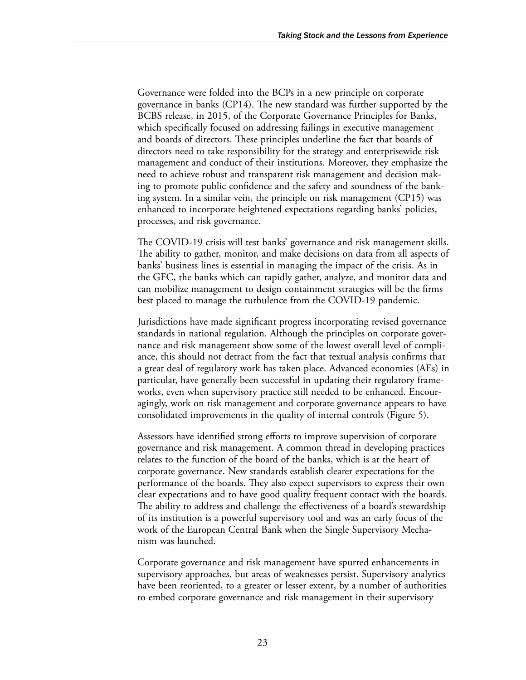Governance were folded into the BCPs in a new principle on corporate governance in banks (CP14). The new standard was further supported by the BCBS release, in 2015, of the Corporate Governance Principles for Banks, which specifically focused on addressing failings in executive management and boards of directors. These principles underline the fact that boards of directors need to take responsibility for the strategy and enterprisewide risk management and conduct of their institutions. Moreover, they emphasize the need to achieve robust and transparent risk management and decision making to promote public confidence and the safety and soundness of the banking system. In a similar vein, the principle on risk management (CP15) was enhanced to incorporate heightened expectations regarding banks' policies, processes, and risk governance.

The COVID-19 crisis will test banks' governance and risk management skills. The ability to gather, monitor, and make decisions on data from all aspects of banks' business lines is essential in managing the impact of the crisis. As in the GFC, the banks which can rapidly gather, analyze, and monitor data and can mobilize management to design containment strategies will be the firms best placed to manage the turbulence from the COVID-19 pandemic.

Jurisdictions have made significant progress incorporating revised governance standards in national regulation. Although the principles on corporate governance and risk management show some of the lowest overall level of compliance, this should not detract from the fact that textual analysis confirms that a great deal of regulatory work has taken place. Advanced economies (AEs) in particular, have generally been successful in updating their regulatory frameworks, even when supervisory practice still needed to be enhanced. Encouragingly, work on risk management and corporate governance appears to have consolidated improvements in the quality of internal controls (Figure 5).

Assessors have identified strong efforts to improve supervision of corporate governance and risk management. A common thread in developing practices relates to the function of the board of the banks, which is at the heart of corporate governance. New standards establish clearer expectations for the performance of the boards. They also expect supervisors to express their own clear expectations and to have good quality frequent contact with the boards. The ability to address and challenge the effectiveness of a board's stewardship of its institution is a powerful supervisory tool and was an early focus of the work of the European Central Bank when the Single Supervisory Mechanism was launched.

Corporate governance and risk management have spurred enhancements in supervisory approaches, but areas of weaknesses persist. Supervisory analytics have been reoriented, to a greater or lesser extent, by a number of authorities to embed corporate governance and risk management in their supervisory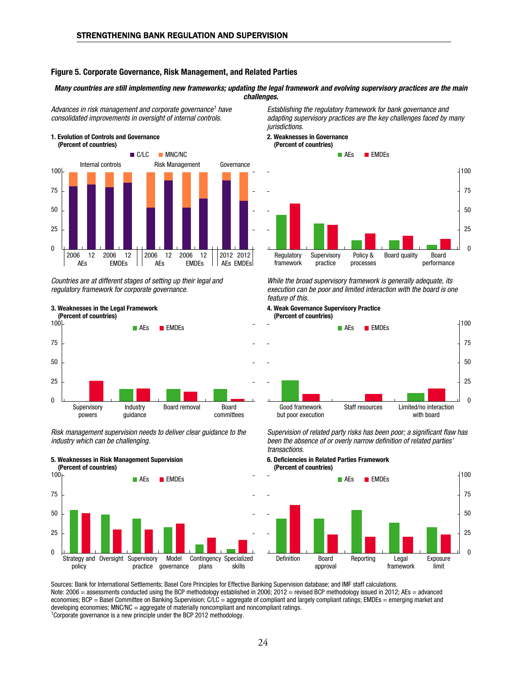#### Figure 5. Corporate Governance, Risk Management, and Related Parties

#### *Many countries are still implementing new frameworks; updating the legal framework and evolving supervisory practices are the main challenges.*

*Advances in risk management and corporate governance1 have consolidated improvements in oversight of internal controls.*



*Countries are at different stages of setting up their legal and regulatory framework for corporate governance.*



*Risk management supervision needs to deliver clear guidance to the industry which can be challenging.*





*Establishing the regulatory framework for bank governance and adapting supervisory practices are the key challenges faced by many jurisdictions.*

#### 2. Weaknesses in Governance



*While the broad supervisory framework is generally adequate, its execution can be poor and limited interaction with the board is one feature of this.*

#### 4. Weak Governance Supervisory Practice (Percent of countries)



Supervision of related party risks has been poor; a significant flaw has been the absence of or overly narrow definition of related parties' *transactions.*

6. Deficiencies in Related Parties Framework (Percent of countries)



Sources: Bank for International Settlements; Basel Core Principles for Effective Banking Supervision database; and IMF staff calculations. Note: 2006 = assessments conducted using the BCP methodology established in 2006; 2012 = revised BCP methodology issued in 2012; AEs = advanced economies; BCP = Basel Committee on Banking Supervision; C/LC = aggregate of compliant and largely compliant ratings; EMDEs = emerging market and developing economies; MNC/NC = aggregate of materially noncompliant and noncompliant ratings. <sup>1</sup>Corporate governance is a new principle under the BCP 2012 methodology.

24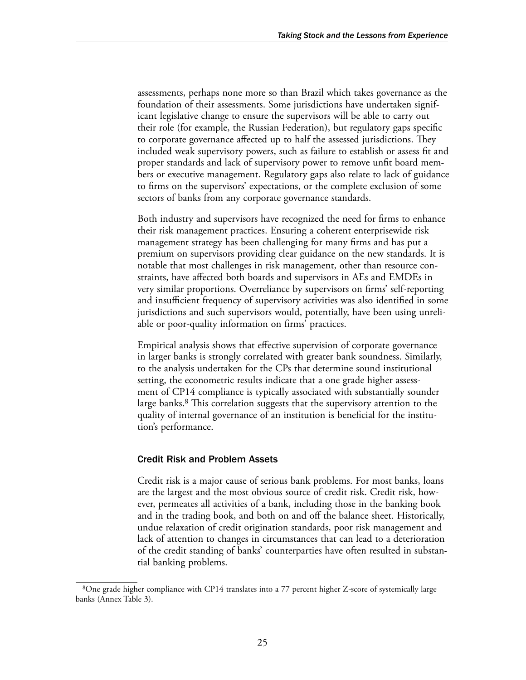assessments, perhaps none more so than Brazil which takes governance as the foundation of their assessments. Some jurisdictions have undertaken significant legislative change to ensure the supervisors will be able to carry out their role (for example, the Russian Federation), but regulatory gaps specific to corporate governance affected up to half the assessed jurisdictions. They included weak supervisory powers, such as failure to establish or assess fit and proper standards and lack of supervisory power to remove unfit board members or executive management. Regulatory gaps also relate to lack of guidance to firms on the supervisors' expectations, or the complete exclusion of some sectors of banks from any corporate governance standards.

Both industry and supervisors have recognized the need for firms to enhance their risk management practices. Ensuring a coherent enterprisewide risk management strategy has been challenging for many firms and has put a premium on supervisors providing clear guidance on the new standards. It is notable that most challenges in risk management, other than resource constraints, have affected both boards and supervisors in AEs and EMDEs in very similar proportions. Overreliance by supervisors on firms' self-reporting and insufficient frequency of supervisory activities was also identified in some jurisdictions and such supervisors would, potentially, have been using unreliable or poor-quality information on firms' practices.

Empirical analysis shows that effective supervision of corporate governance in larger banks is strongly correlated with greater bank soundness. Similarly, to the analysis undertaken for the CPs that determine sound institutional setting, the econometric results indicate that a one grade higher assessment of CP14 compliance is typically associated with substantially sounder large banks.<sup>8</sup> This correlation suggests that the supervisory attention to the quality of internal governance of an institution is beneficial for the institution's performance.

#### Credit Risk and Problem Assets

Credit risk is a major cause of serious bank problems. For most banks, loans are the largest and the most obvious source of credit risk. Credit risk, however, permeates all activities of a bank, including those in the banking book and in the trading book, and both on and off the balance sheet. Historically, undue relaxation of credit origination standards, poor risk management and lack of attention to changes in circumstances that can lead to a deterioration of the credit standing of banks' counterparties have often resulted in substantial banking problems.

<sup>8</sup>One grade higher compliance with CP14 translates into a 77 percent higher Z-score of systemically large banks (Annex Table 3).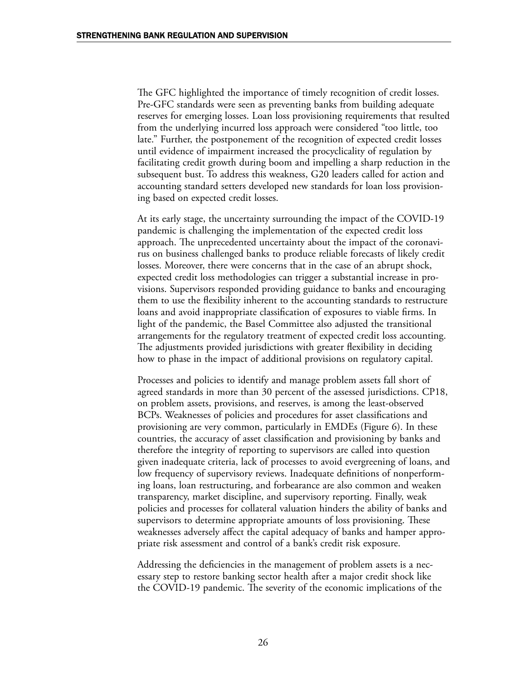The GFC highlighted the importance of timely recognition of credit losses. Pre-GFC standards were seen as preventing banks from building adequate reserves for emerging losses. Loan loss provisioning requirements that resulted from the underlying incurred loss approach were considered "too little, too late." Further, the postponement of the recognition of expected credit losses until evidence of impairment increased the procyclicality of regulation by facilitating credit growth during boom and impelling a sharp reduction in the subsequent bust. To address this weakness, G20 leaders called for action and accounting standard setters developed new standards for loan loss provisioning based on expected credit losses.

At its early stage, the uncertainty surrounding the impact of the COVID-19 pandemic is challenging the implementation of the expected credit loss approach. The unprecedented uncertainty about the impact of the coronavirus on business challenged banks to produce reliable forecasts of likely credit losses. Moreover, there were concerns that in the case of an abrupt shock, expected credit loss methodologies can trigger a substantial increase in provisions. Supervisors responded providing guidance to banks and encouraging them to use the flexibility inherent to the accounting standards to restructure loans and avoid inappropriate classification of exposures to viable firms. In light of the pandemic, the Basel Committee also adjusted the transitional arrangements for the regulatory treatment of expected credit loss accounting. The adjustments provided jurisdictions with greater flexibility in deciding how to phase in the impact of additional provisions on regulatory capital.

Processes and policies to identify and manage problem assets fall short of agreed standards in more than 30 percent of the assessed jurisdictions. CP18, on problem assets, provisions, and reserves, is among the least-observed BCPs. Weaknesses of policies and procedures for asset classifications and provisioning are very common, particularly in EMDEs (Figure 6). In these countries, the accuracy of asset classification and provisioning by banks and therefore the integrity of reporting to supervisors are called into question given inadequate criteria, lack of processes to avoid evergreening of loans, and low frequency of supervisory reviews. Inadequate definitions of nonperforming loans, loan restructuring, and forbearance are also common and weaken transparency, market discipline, and supervisory reporting. Finally, weak policies and processes for collateral valuation hinders the ability of banks and supervisors to determine appropriate amounts of loss provisioning. These weaknesses adversely affect the capital adequacy of banks and hamper appropriate risk assessment and control of a bank's credit risk exposure.

Addressing the deficiencies in the management of problem assets is a necessary step to restore banking sector health after a major credit shock like the COVID-19 pandemic. The severity of the economic implications of the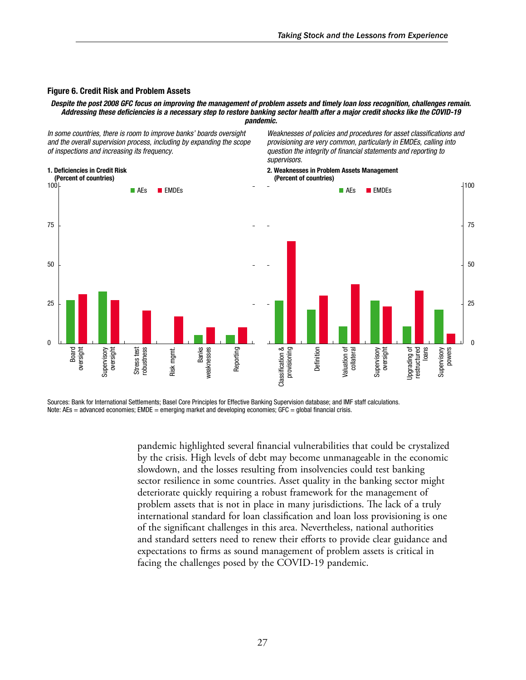#### Figure 6. Credit Risk and Problem Assets

#### *Despite the post 2008 GFC focus on improving the management of problem assets and timely loan loss recognition, challenges remain.*  Addressing these deficiencies is a necessary step to restore banking sector health after a major credit shocks like the COVID-19 *pandemic.*

*In some countries, there is room to improve banks' boards oversight and the overall supervision process, including by expanding the scope of inspections and increasing its frequency.*

1. Deficiencies in Credit Risk

Weaknesses of policies and procedures for asset classifications and *provisioning are very common, particularly in EMDEs, calling into*  question the integrity of financial statements and reporting to *supervisors.*

2. Weaknesses in Problem Assets Management (Percent of countries)



Sources: Bank for International Settlements; Basel Core Principles for Effective Banking Supervision database; and IMF staff calculations. Note: AEs = advanced economies; EMDE = emerging market and developing economies; GFC = global financial crisis.

> pandemic highlighted several financial vulnerabilities that could be crystalized by the crisis. High levels of debt may become unmanageable in the economic slowdown, and the losses resulting from insolvencies could test banking sector resilience in some countries. Asset quality in the banking sector might deteriorate quickly requiring a robust framework for the management of problem assets that is not in place in many jurisdictions. The lack of a truly international standard for loan classification and loan loss provisioning is one of the significant challenges in this area. Nevertheless, national authorities and standard setters need to renew their efforts to provide clear guidance and expectations to firms as sound management of problem assets is critical in facing the challenges posed by the COVID-19 pandemic.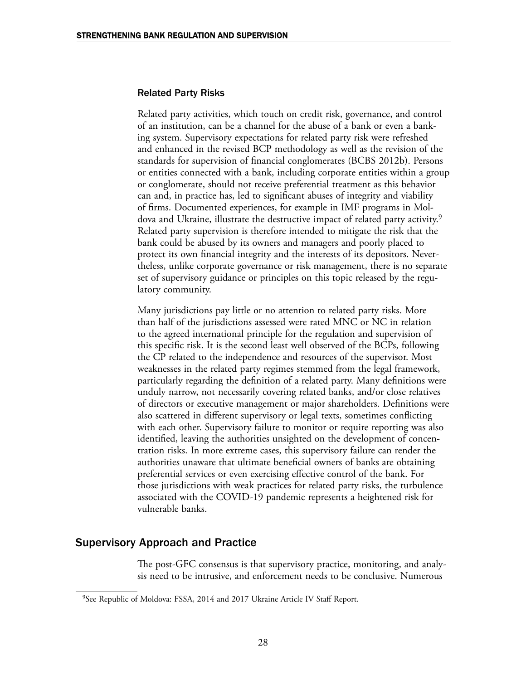#### Related Party Risks

Related party activities, which touch on credit risk, governance, and control of an institution, can be a channel for the abuse of a bank or even a banking system. Supervisory expectations for related party risk were refreshed and enhanced in the revised BCP methodology as well as the revision of the standards for supervision of financial conglomerates (BCBS 2012b). Persons or entities connected with a bank, including corporate entities within a group or conglomerate, should not receive preferential treatment as this behavior can and, in practice has, led to significant abuses of integrity and viability of firms. Documented experiences, for example in IMF programs in Moldova and Ukraine, illustrate the destructive impact of related party activity.<sup>9</sup> Related party supervision is therefore intended to mitigate the risk that the bank could be abused by its owners and managers and poorly placed to protect its own financial integrity and the interests of its depositors. Nevertheless, unlike corporate governance or risk management, there is no separate set of supervisory guidance or principles on this topic released by the regulatory community.

Many jurisdictions pay little or no attention to related party risks. More than half of the jurisdictions assessed were rated MNC or NC in relation to the agreed international principle for the regulation and supervision of this specific risk. It is the second least well observed of the BCPs, following the CP related to the independence and resources of the supervisor. Most weaknesses in the related party regimes stemmed from the legal framework, particularly regarding the definition of a related party. Many definitions were unduly narrow, not necessarily covering related banks, and/or close relatives of directors or executive management or major shareholders. Definitions were also scattered in different supervisory or legal texts, sometimes conflicting with each other. Supervisory failure to monitor or require reporting was also identified, leaving the authorities unsighted on the development of concentration risks. In more extreme cases, this supervisory failure can render the authorities unaware that ultimate beneficial owners of banks are obtaining preferential services or even exercising effective control of the bank. For those jurisdictions with weak practices for related party risks, the turbulence associated with the COVID-19 pandemic represents a heightened risk for vulnerable banks.

### Supervisory Approach and Practice

The post-GFC consensus is that supervisory practice, monitoring, and analysis need to be intrusive, and enforcement needs to be conclusive. Numerous

<sup>&</sup>lt;sup>9</sup>See Republic of Moldova: FSSA, 2014 and 2017 Ukraine Article IV Staff Report.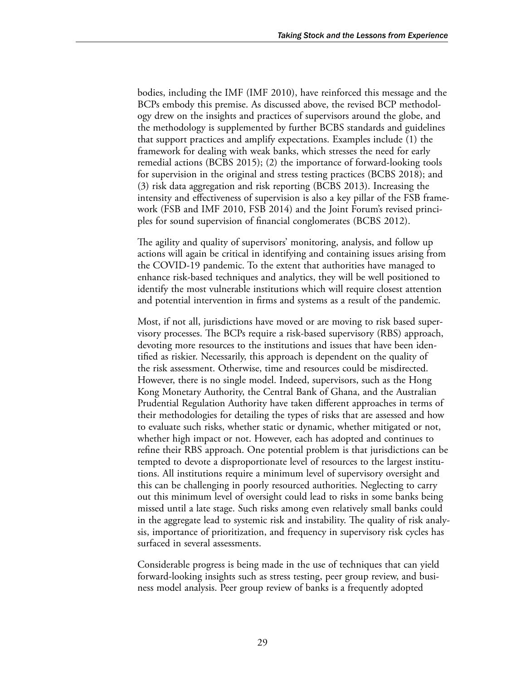bodies, including the IMF (IMF 2010), have reinforced this message and the BCPs embody this premise. As discussed above, the revised BCP methodology drew on the insights and practices of supervisors around the globe, and the methodology is supplemented by further BCBS standards and guidelines that support practices and amplify expectations. Examples include (1) the framework for dealing with weak banks, which stresses the need for early remedial actions (BCBS 2015); (2) the importance of forward-looking tools for supervision in the original and stress testing practices (BCBS 2018); and (3) risk data aggregation and risk reporting (BCBS 2013). Increasing the intensity and effectiveness of supervision is also a key pillar of the FSB framework (FSB and IMF 2010, FSB 2014) and the Joint Forum's revised principles for sound supervision of financial conglomerates (BCBS 2012).

The agility and quality of supervisors' monitoring, analysis, and follow up actions will again be critical in identifying and containing issues arising from the COVID-19 pandemic. To the extent that authorities have managed to enhance risk-based techniques and analytics, they will be well positioned to identify the most vulnerable institutions which will require closest attention and potential intervention in firms and systems as a result of the pandemic.

Most, if not all, jurisdictions have moved or are moving to risk based supervisory processes. The BCPs require a risk-based supervisory (RBS) approach, devoting more resources to the institutions and issues that have been identified as riskier. Necessarily, this approach is dependent on the quality of the risk assessment. Otherwise, time and resources could be misdirected. However, there is no single model. Indeed, supervisors, such as the Hong Kong Monetary Authority, the Central Bank of Ghana, and the Australian Prudential Regulation Authority have taken different approaches in terms of their methodologies for detailing the types of risks that are assessed and how to evaluate such risks, whether static or dynamic, whether mitigated or not, whether high impact or not. However, each has adopted and continues to refine their RBS approach. One potential problem is that jurisdictions can be tempted to devote a disproportionate level of resources to the largest institutions. All institutions require a minimum level of supervisory oversight and this can be challenging in poorly resourced authorities. Neglecting to carry out this minimum level of oversight could lead to risks in some banks being missed until a late stage. Such risks among even relatively small banks could in the aggregate lead to systemic risk and instability. The quality of risk analysis, importance of prioritization, and frequency in supervisory risk cycles has surfaced in several assessments.

Considerable progress is being made in the use of techniques that can yield forward-looking insights such as stress testing, peer group review, and business model analysis. Peer group review of banks is a frequently adopted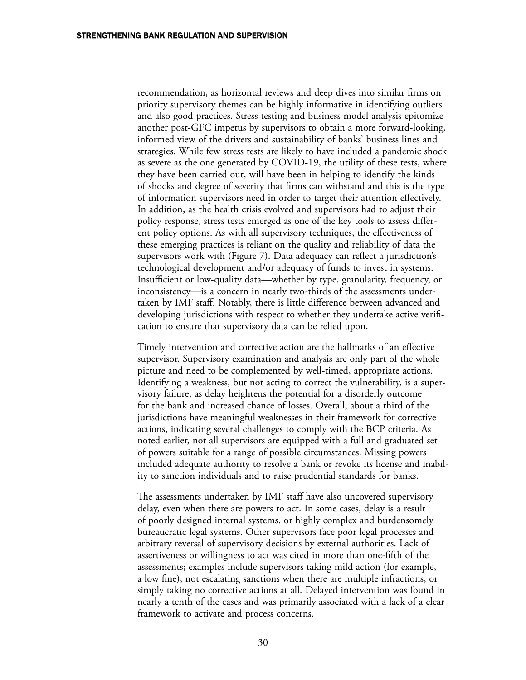recommendation, as horizontal reviews and deep dives into similar firms on priority supervisory themes can be highly informative in identifying outliers and also good practices. Stress testing and business model analysis epitomize another post-GFC impetus by supervisors to obtain a more forward-looking, informed view of the drivers and sustainability of banks' business lines and strategies. While few stress tests are likely to have included a pandemic shock as severe as the one generated by COVID-19, the utility of these tests, where they have been carried out, will have been in helping to identify the kinds of shocks and degree of severity that firms can withstand and this is the type of information supervisors need in order to target their attention effectively. In addition, as the health crisis evolved and supervisors had to adjust their policy response, stress tests emerged as one of the key tools to assess different policy options. As with all supervisory techniques, the effectiveness of these emerging practices is reliant on the quality and reliability of data the supervisors work with (Figure 7). Data adequacy can reflect a jurisdiction's technological development and/or adequacy of funds to invest in systems. Insufficient or low-quality data—whether by type, granularity, frequency, or inconsistency—is a concern in nearly two-thirds of the assessments undertaken by IMF staff. Notably, there is little difference between advanced and developing jurisdictions with respect to whether they undertake active verification to ensure that supervisory data can be relied upon.

Timely intervention and corrective action are the hallmarks of an effective supervisor. Supervisory examination and analysis are only part of the whole picture and need to be complemented by well-timed, appropriate actions. Identifying a weakness, but not acting to correct the vulnerability, is a supervisory failure, as delay heightens the potential for a disorderly outcome for the bank and increased chance of losses. Overall, about a third of the jurisdictions have meaningful weaknesses in their framework for corrective actions, indicating several challenges to comply with the BCP criteria. As noted earlier, not all supervisors are equipped with a full and graduated set of powers suitable for a range of possible circumstances. Missing powers included adequate authority to resolve a bank or revoke its license and inability to sanction individuals and to raise prudential standards for banks.

The assessments undertaken by IMF staff have also uncovered supervisory delay, even when there are powers to act. In some cases, delay is a result of poorly designed internal systems, or highly complex and burdensomely bureaucratic legal systems. Other supervisors face poor legal processes and arbitrary reversal of supervisory decisions by external authorities. Lack of assertiveness or willingness to act was cited in more than one-fifth of the assessments; examples include supervisors taking mild action (for example, a low fine), not escalating sanctions when there are multiple infractions, or simply taking no corrective actions at all. Delayed intervention was found in nearly a tenth of the cases and was primarily associated with a lack of a clear framework to activate and process concerns.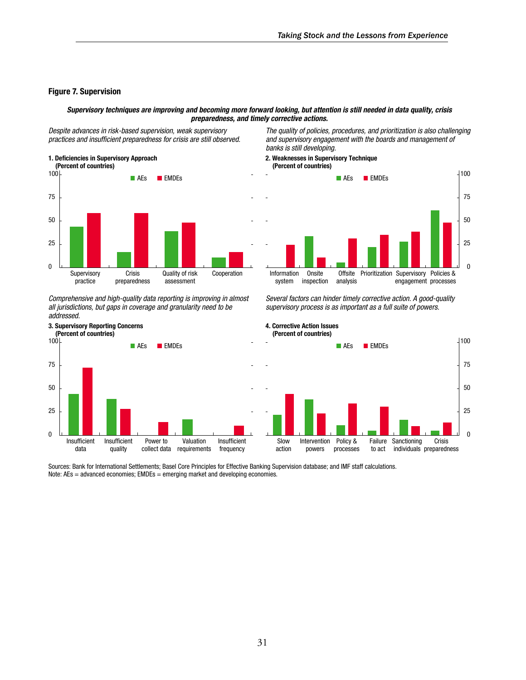#### Figure 7. Supervision

#### *Supervisory techniques are improving and becoming more forward looking, but attention is still needed in data quality, crisis preparedness, and timely corrective actions.*

*Despite advances in risk-based supervision, weak supervisory*  practices and insufficient preparedness for crisis are still observed.



Comprehensive and high-quality data reporting is improving in almost all jurisdictions, but gaps in coverage and granularity need to be addressed.



Sources: Bank for International Settlements; Basel Core Principles for Effective Banking Supervision database; and IMF staff calculations. Note:  $AEs =$  advanced economies;  $EMDEs =$  emerging market and developing economies.

The quality of policies, procedures, and prioritization is also challenging and supervisory engagement with the boards and management of banks is still developing.





Several factors can hinder timely corrective action. A good-quality supervisory process is as important as a full suite of powers.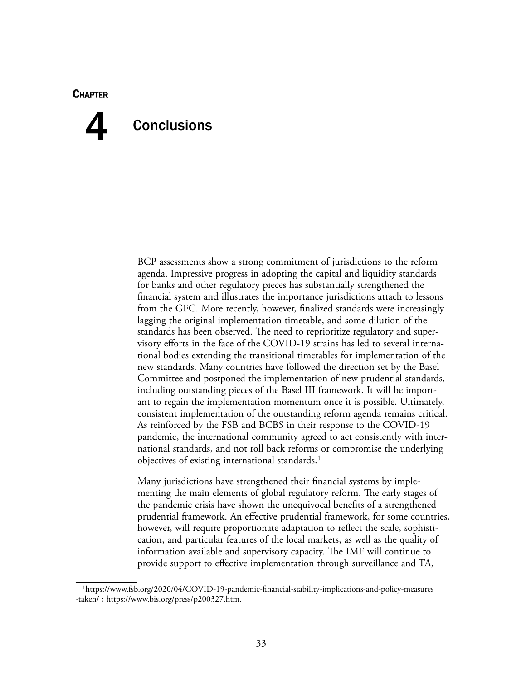#### **CHAPTER**

# **Conclusions** 4

BCP assessments show a strong commitment of jurisdictions to the reform agenda. Impressive progress in adopting the capital and liquidity standards for banks and other regulatory pieces has substantially strengthened the financial system and illustrates the importance jurisdictions attach to lessons from the GFC. More recently, however, finalized standards were increasingly lagging the original implementation timetable, and some dilution of the standards has been observed. The need to reprioritize regulatory and supervisory efforts in the face of the COVID-19 strains has led to several international bodies extending the transitional timetables for implementation of the new standards. Many countries have followed the direction set by the Basel Committee and postponed the implementation of new prudential standards, including outstanding pieces of the Basel III framework. It will be important to regain the implementation momentum once it is possible. Ultimately, consistent implementation of the outstanding reform agenda remains critical. As reinforced by the FSB and BCBS in their response to the COVID-19 pandemic, the international community agreed to act consistently with international standards, and not roll back reforms or compromise the underlying objectives of existing international standards.<sup>1</sup>

Many jurisdictions have strengthened their financial systems by implementing the main elements of global regulatory reform. The early stages of the pandemic crisis have shown the unequivocal benefits of a strengthened prudential framework. An effective prudential framework, for some countries, however, will require proportionate adaptation to reflect the scale, sophistication, and particular features of the local markets, as well as the quality of information available and supervisory capacity. The IMF will continue to provide support to effective implementation through surveillance and TA,

<sup>1</sup>[https://www.fsb.org/2020/04/COVID-19-pandemic-financial-stability-implications-and-policy-measures](https://www.fsb.org/2020/04/covid-19-pandemic-financial-stability-implications-and-policy-measures-taken/) [-taken/](https://www.fsb.org/2020/04/covid-19-pandemic-financial-stability-implications-and-policy-measures-taken/) ; [https://www.bis.org/press/p200327.htm.](https://www.bis.org/press/p200327.htm)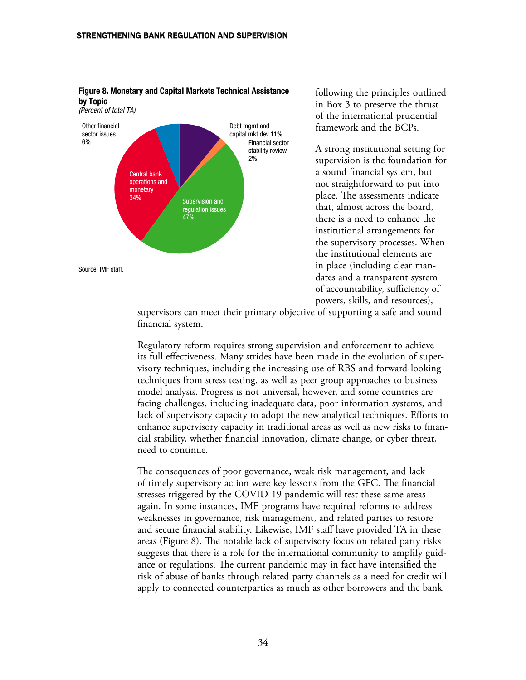



following the principles outlined in Box 3 to preserve the thrust of the international prudential framework and the BCPs.

A strong institutional setting for supervision is the foundation for a sound financial system, but not straightforward to put into place. The assessments indicate that, almost across the board, there is a need to enhance the institutional arrangements for the supervisory processes. When the institutional elements are in place (including clear mandates and a transparent system of accountability, sufficiency of powers, skills, and resources),

supervisors can meet their primary objective of supporting a safe and sound financial system.

Regulatory reform requires strong supervision and enforcement to achieve its full effectiveness. Many strides have been made in the evolution of supervisory techniques, including the increasing use of RBS and forward-looking techniques from stress testing, as well as peer group approaches to business model analysis. Progress is not universal, however, and some countries are facing challenges, including inadequate data, poor information systems, and lack of supervisory capacity to adopt the new analytical techniques. Efforts to enhance supervisory capacity in traditional areas as well as new risks to financial stability, whether financial innovation, climate change, or cyber threat, need to continue.

The consequences of poor governance, weak risk management, and lack of timely supervisory action were key lessons from the GFC. The financial stresses triggered by the COVID-19 pandemic will test these same areas again. In some instances, IMF programs have required reforms to address weaknesses in governance, risk management, and related parties to restore and secure financial stability. Likewise, IMF staff have provided TA in these areas (Figure 8). The notable lack of supervisory focus on related party risks suggests that there is a role for the international community to amplify guidance or regulations. The current pandemic may in fact have intensified the risk of abuse of banks through related party channels as a need for credit will apply to connected counterparties as much as other borrowers and the bank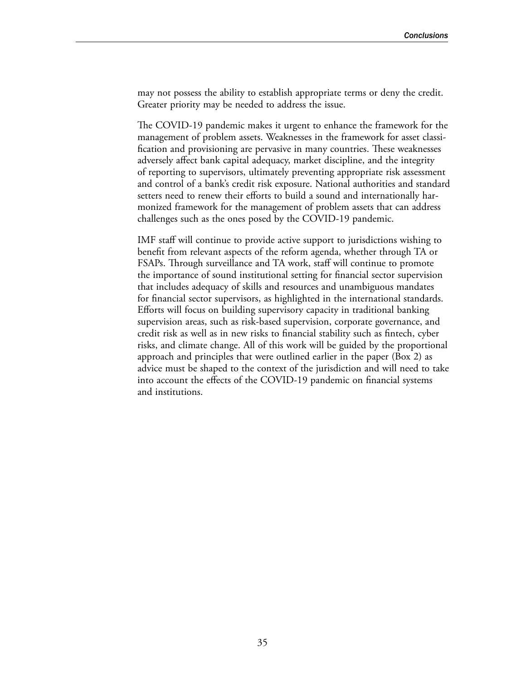may not possess the ability to establish appropriate terms or deny the credit. Greater priority may be needed to address the issue.

The COVID-19 pandemic makes it urgent to enhance the framework for the management of problem assets. Weaknesses in the framework for asset classification and provisioning are pervasive in many countries. These weaknesses adversely affect bank capital adequacy, market discipline, and the integrity of reporting to supervisors, ultimately preventing appropriate risk assessment and control of a bank's credit risk exposure. National authorities and standard setters need to renew their efforts to build a sound and internationally harmonized framework for the management of problem assets that can address challenges such as the ones posed by the COVID-19 pandemic.

IMF staff will continue to provide active support to jurisdictions wishing to benefit from relevant aspects of the reform agenda, whether through TA or FSAPs. Through surveillance and TA work, staff will continue to promote the importance of sound institutional setting for financial sector supervision that includes adequacy of skills and resources and unambiguous mandates for financial sector supervisors, as highlighted in the international standards. Efforts will focus on building supervisory capacity in traditional banking supervision areas, such as risk-based supervision, corporate governance, and credit risk as well as in new risks to financial stability such as fintech, cyber risks, and climate change. All of this work will be guided by the proportional approach and principles that were outlined earlier in the paper (Box 2) as advice must be shaped to the context of the jurisdiction and will need to take into account the effects of the COVID-19 pandemic on financial systems and institutions.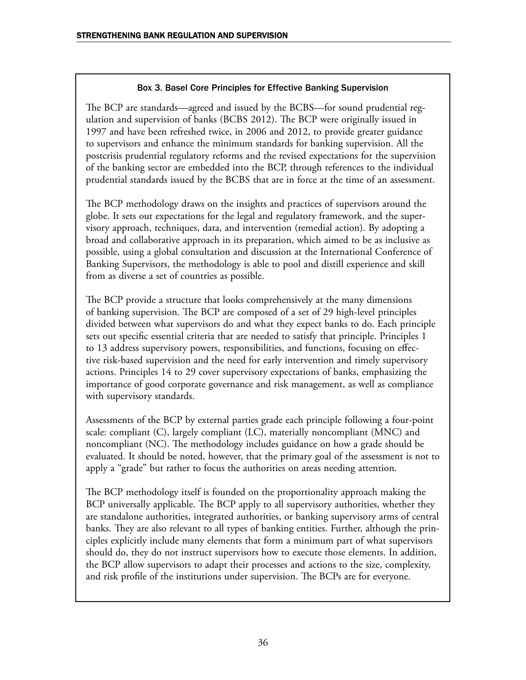### Box 3. Basel Core Principles for Effective Banking Supervision

The BCP are standards—agreed and issued by the BCBS—for sound prudential regulation and supervision of banks (BCBS 2012). The BCP were originally issued in 1997 and have been refreshed twice, in 2006 and 2012, to provide greater guidance to supervisors and enhance the minimum standards for banking supervision. All the postcrisis prudential regulatory reforms and the revised expectations for the supervision of the banking sector are embedded into the BCP, through references to the individual prudential standards issued by the BCBS that are in force at the time of an assessment.

The BCP methodology draws on the insights and practices of supervisors around the globe. It sets out expectations for the legal and regulatory framework, and the supervisory approach, techniques, data, and intervention (remedial action). By adopting a broad and collaborative approach in its preparation, which aimed to be as inclusive as possible, using a global consultation and discussion at the International Conference of Banking Supervisors, the methodology is able to pool and distill experience and skill from as diverse a set of countries as possible.

The BCP provide a structure that looks comprehensively at the many dimensions of banking supervision. The BCP are composed of a set of 29 high-level principles divided between what supervisors do and what they expect banks to do. Each principle sets out specific essential criteria that are needed to satisfy that principle. Principles 1 to 13 address supervisory powers, responsibilities, and functions, focusing on effective risk-based supervision and the need for early intervention and timely supervisory actions. Principles 14 to 29 cover supervisory expectations of banks, emphasizing the importance of good corporate governance and risk management, as well as compliance with supervisory standards.

Assessments of the BCP by external parties grade each principle following a four-point scale: compliant (C), largely compliant (LC), materially noncompliant (MNC) and noncompliant (NC). The methodology includes guidance on how a grade should be evaluated. It should be noted, however, that the primary goal of the assessment is not to apply a "grade" but rather to focus the authorities on areas needing attention.

The BCP methodology itself is founded on the proportionality approach making the BCP universally applicable. The BCP apply to all supervisory authorities, whether they are standalone authorities, integrated authorities, or banking supervisory arms of central banks. They are also relevant to all types of banking entities. Further, although the principles explicitly include many elements that form a minimum part of what supervisors should do, they do not instruct supervisors how to execute those elements. In addition, the BCP allow supervisors to adapt their processes and actions to the size, complexity, and risk profile of the institutions under supervision. The BCPs are for everyone.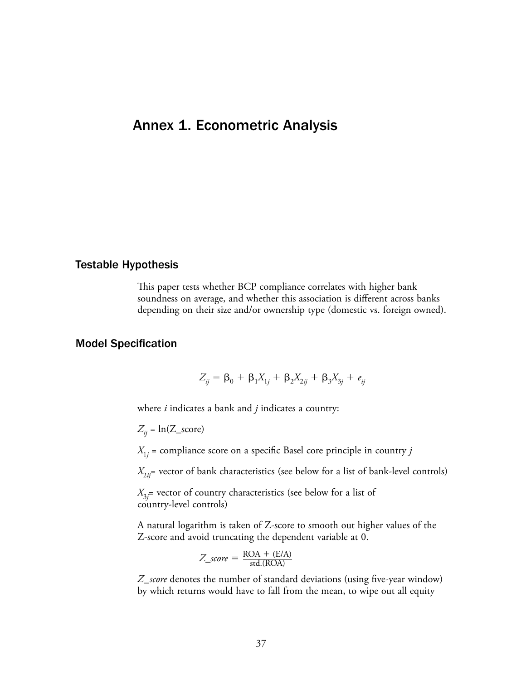## Annex 1. Econometric Analysis

#### Testable Hypothesis

This paper tests whether BCP compliance correlates with higher bank soundness on average, and whether this association is different across banks depending on their size and/or ownership type (domestic vs. foreign owned).

#### Model Specification

$$
Z_{ij} = \beta_0 + \beta_1 X_{1j} + \beta_2 X_{2ij} + \beta_3 X_{3j} + e_{ij}
$$

where *i* indicates a bank and *j* indicates a country:

 $Z_{ii}$  = ln(Z\_score)

 $X_{1j}$  = compliance score on a specific Basel core principle in country  $j$ 

 $X_{2ii}$ = vector of bank characteristics (see below for a list of bank-level controls)

*X*3*j* = vector of country characteristics (see below for a list of country-level controls)

A natural logarithm is taken of Z-score to smooth out higher values of the Z-score and avoid truncating the dependent variable at 0.

$$
Z\_score = \frac{\text{ROA} + (\text{E/A})}{\text{std.}( \text{ROA})}
$$

*Z*\_*score* denotes the number of standard deviations (using five-year window) by which returns would have to fall from the mean, to wipe out all equity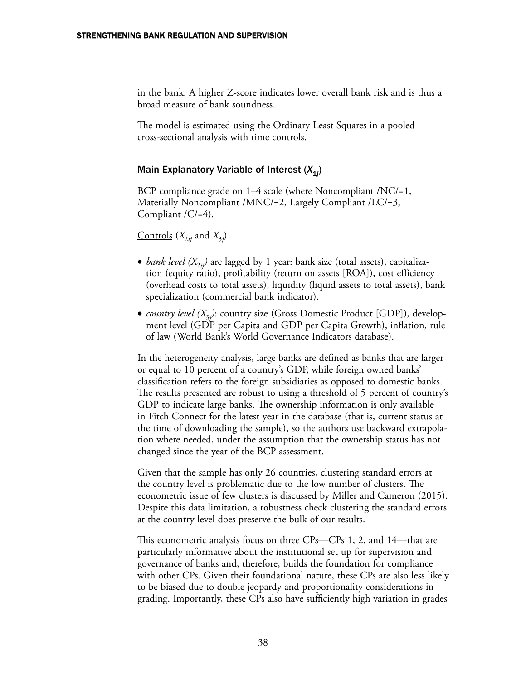in the bank. A higher Z-score indicates lower overall bank risk and is thus a broad measure of bank soundness.

The model is estimated using the Ordinary Least Squares in a pooled cross-sectional analysis with time controls.

### Main Explanatory Variable of Interest (X<sub>1j</sub>)

BCP compliance grade on 1–4 scale (where Noncompliant /NC/=1, Materially Noncompliant /MNC/=2, Largely Compliant /LC/=3, Compliant /C/=4).

 $\frac{\text{Controls}}{\text{X}_{2ij}}$  and  $\text{X}_{3j}$ 

- *bank level (* $X_{2ii}$ *)* are lagged by 1 year: bank size (total assets), capitalization (equity ratio), profitability (return on assets [ROA]), cost efficiency (overhead costs to total assets), liquidity (liquid assets to total assets), bank specialization (commercial bank indicator).
- *country level (X*3*<sup>j</sup> )*: country size (Gross Domestic Product [GDP]), development level (GDP per Capita and GDP per Capita Growth), inflation, rule of law (World Bank's World Governance Indicators database).

In the heterogeneity analysis, large banks are defined as banks that are larger or equal to 10 percent of a country's GDP, while foreign owned banks' classification refers to the foreign subsidiaries as opposed to domestic banks. The results presented are robust to using a threshold of 5 percent of country's GDP to indicate large banks. The ownership information is only available in Fitch Connect for the latest year in the database (that is, current status at the time of downloading the sample), so the authors use backward extrapolation where needed, under the assumption that the ownership status has not changed since the year of the BCP assessment.

Given that the sample has only 26 countries, clustering standard errors at the country level is problematic due to the low number of clusters. The econometric issue of few clusters is discussed by Miller and Cameron (2015). Despite this data limitation, a robustness check clustering the standard errors at the country level does preserve the bulk of our results.

This econometric analysis focus on three CPs—CPs 1, 2, and 14—that are particularly informative about the institutional set up for supervision and governance of banks and, therefore, builds the foundation for compliance with other CPs. Given their foundational nature, these CPs are also less likely to be biased due to double jeopardy and proportionality considerations in grading. Importantly, these CPs also have sufficiently high variation in grades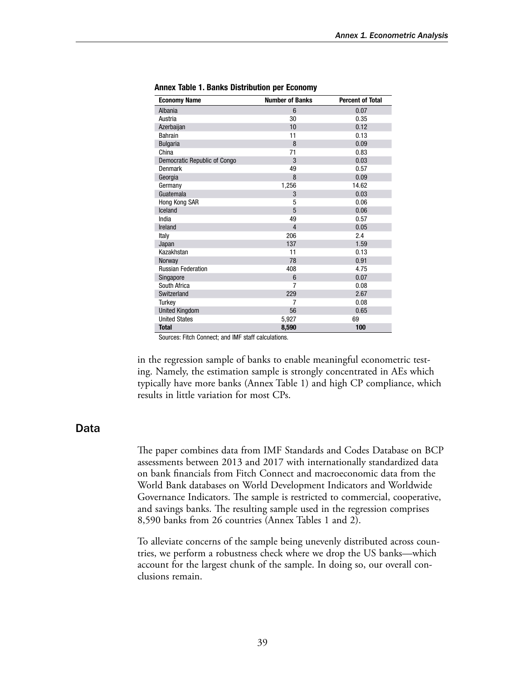| <b>Economy Name</b>          | <b>Number of Banks</b> | <b>Percent of Total</b> |
|------------------------------|------------------------|-------------------------|
| Albania                      | 6                      | 0.07                    |
| Austria                      | 30                     | 0.35                    |
| Azerbaijan                   | 10                     | 0.12                    |
| Bahrain                      | 11                     | 0.13                    |
| <b>Bulgaria</b>              | 8                      | 0.09                    |
| China                        | 71                     | 0.83                    |
| Democratic Republic of Congo | 3                      | 0.03                    |
| Denmark                      | 49                     | 0.57                    |
| Georgia                      | 8                      | 0.09                    |
| Germany                      | 1,256                  | 14.62                   |
| Guatemala                    | 3                      | 0.03                    |
| Hong Kong SAR                | 5                      | 0.06                    |
| Iceland                      | 5                      | 0.06                    |
| India                        | 49                     | 0.57                    |
| Ireland                      | $\overline{4}$         | 0.05                    |
| Italy                        | 206                    | 2.4                     |
| Japan                        | 137                    | 1.59                    |
| Kazakhstan                   | 11                     | 0.13                    |
| Norway                       | 78                     | 0.91                    |
| <b>Russian Federation</b>    | 408                    | 4.75                    |
| Singapore                    | 6                      | 0.07                    |
| South Africa                 | $\overline{7}$         | 0.08                    |
| Switzerland                  | 229                    | 2.67                    |
| Turkey                       | 7                      | 0.08                    |
| <b>United Kingdom</b>        | 56                     | 0.65                    |
| <b>United States</b>         | 5,927                  | 69                      |
| <b>Total</b>                 | 8,590                  | 100                     |

Annex Table 1. Banks Distribution per Economy

Sources: Fitch Connect; and IMF staff calculations.

in the regression sample of banks to enable meaningful econometric testing. Namely, the estimation sample is strongly concentrated in AEs which typically have more banks (Annex Table 1) and high CP compliance, which results in little variation for most CPs.

#### Data

The paper combines data from IMF Standards and Codes Database on BCP assessments between 2013 and 2017 with internationally standardized data on bank financials from Fitch Connect and macroeconomic data from the World Bank databases on World Development Indicators and Worldwide Governance Indicators. The sample is restricted to commercial, cooperative, and savings banks. The resulting sample used in the regression comprises 8,590 banks from 26 countries (Annex Tables 1 and 2).

To alleviate concerns of the sample being unevenly distributed across countries, we perform a robustness check where we drop the US banks—which account for the largest chunk of the sample. In doing so, our overall conclusions remain.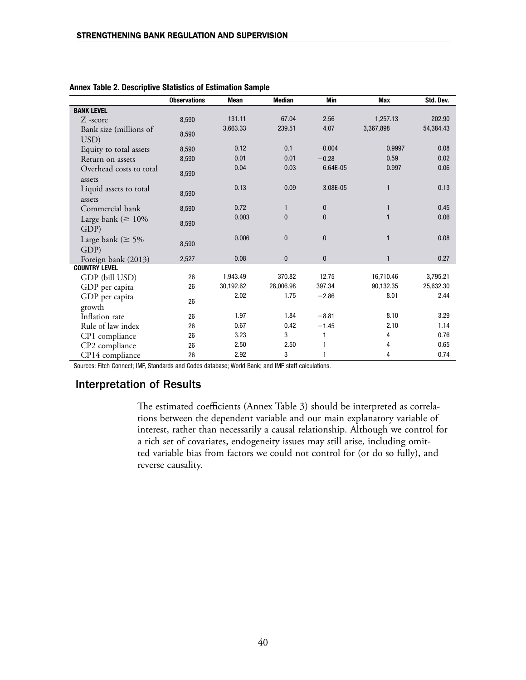|                                   | <b>Observations</b> | <b>Mean</b> | <b>Median</b> | Min          | <b>Max</b>   | Std. Dev. |
|-----------------------------------|---------------------|-------------|---------------|--------------|--------------|-----------|
| <b>BANK LEVEL</b>                 |                     |             |               |              |              |           |
| $Z$ -score                        | 8,590               | 131.11      | 67.04         | 2.56         | 1,257.13     | 202.90    |
| Bank size (millions of<br>USD)    | 8,590               | 3,663.33    | 239.51        | 4.07         | 3,367,898    | 54,384.43 |
| Equity to total assets            | 8,590               | 0.12        | 0.1           | 0.004        | 0.9997       | 0.08      |
| Return on assets                  | 8,590               | 0.01        | 0.01          | $-0.28$      | 0.59         | 0.02      |
| Overhead costs to total<br>assets | 8,590               | 0.04        | 0.03          | 6.64E-05     | 0.997        | 0.06      |
| Liquid assets to total<br>assets  | 8,590               | 0.13        | 0.09          | 3.08E-05     | $\mathbf{1}$ | 0.13      |
| Commercial bank                   | 8,590               | 0.72        | $\mathbf{1}$  | $\mathbf{0}$ | $\mathbf{1}$ | 0.45      |
| Large bank ( $\geq 10\%$<br>GDP)  | 8,590               | 0.003       | $\mathbf{0}$  | $\mathbf{0}$ | 1            | 0.06      |
| Large bank ( $\geq 5\%$<br>GDP)   | 8,590               | 0.006       | $\mathbf{0}$  | $\mathbf{0}$ | 1            | 0.08      |
| Foreign bank (2013)               | 2,527               | 0.08        | $\bf{0}$      | $\mathbf{0}$ | $\mathbf{1}$ | 0.27      |
| <b>COUNTRY LEVEL</b>              |                     |             |               |              |              |           |
| GDP (bill USD)                    | 26                  | 1,943.49    | 370.82        | 12.75        | 16,710.46    | 3,795.21  |
| GDP per capita                    | 26                  | 30,192.62   | 28,006.98     | 397.34       | 90,132.35    | 25,632.30 |
| GDP per capita<br>growth          | 26                  | 2.02        | 1.75          | $-2.86$      | 8.01         | 2.44      |
| Inflation rate                    | 26                  | 1.97        | 1.84          | $-8.81$      | 8.10         | 3.29      |
| Rule of law index                 | 26                  | 0.67        | 0.42          | $-1.45$      | 2.10         | 1.14      |
| CP1 compliance                    | 26                  | 3.23        | 3             | 1            | 4            | 0.76      |
| CP2 compliance                    | 26                  | 2.50        | 2.50          | 1            | 4            | 0.65      |
| CP14 compliance                   | 26                  | 2.92        | 3             | 1            | 4            | 0.74      |

| Annex Table 2. Descriptive Statistics of Estimation Sample |  |  |  |  |  |
|------------------------------------------------------------|--|--|--|--|--|
|------------------------------------------------------------|--|--|--|--|--|

Sources: Fitch Connect; IMF, Standards and Codes database; World Bank; and IMF staff calculations.

#### Interpretation of Results

The estimated coefficients (Annex Table 3) should be interpreted as correlations between the dependent variable and our main explanatory variable of interest, rather than necessarily a causal relationship. Although we control for a rich set of covariates, endogeneity issues may still arise, including omitted variable bias from factors we could not control for (or do so fully), and reverse causality.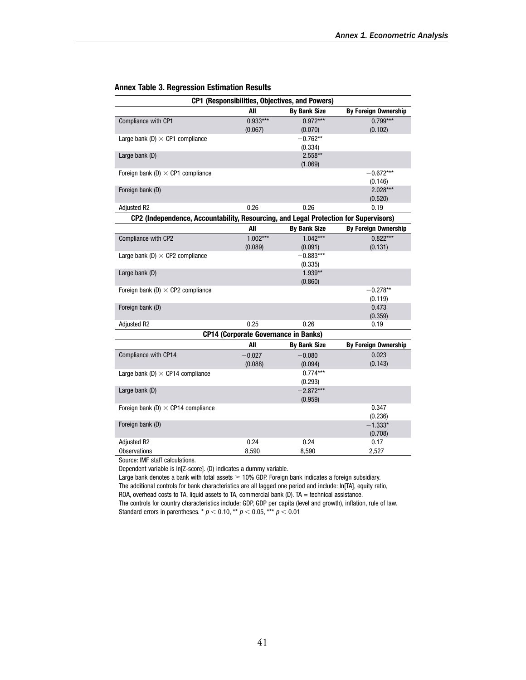| CP1 (Responsibilities, Objectives, and Powers)                                       |            |                     |                             |  |  |  |
|--------------------------------------------------------------------------------------|------------|---------------------|-----------------------------|--|--|--|
|                                                                                      | All        | <b>By Bank Size</b> | By Foreign Ownership        |  |  |  |
| Compliance with CP1                                                                  | $0.933***$ | $0.972***$          | $0.799***$                  |  |  |  |
|                                                                                      | (0.067)    | (0.070)             | (0.102)                     |  |  |  |
| Large bank (D) $\times$ CP1 compliance                                               |            | $-0.762**$          |                             |  |  |  |
|                                                                                      |            | (0.334)             |                             |  |  |  |
| Large bank (D)                                                                       |            | $2.558**$           |                             |  |  |  |
|                                                                                      |            | (1.069)             |                             |  |  |  |
| Foreign bank (D) $\times$ CP1 compliance                                             |            |                     | $-0.672***$                 |  |  |  |
|                                                                                      |            |                     | (0.146)                     |  |  |  |
| Foreign bank (D)                                                                     |            |                     | $2.028***$                  |  |  |  |
|                                                                                      |            |                     | (0.520)                     |  |  |  |
| <b>Adjusted R2</b>                                                                   | 0.26       | 0.26                | 0.19                        |  |  |  |
| CP2 (Independence, Accountability, Resourcing, and Legal Protection for Supervisors) |            |                     |                             |  |  |  |
|                                                                                      | All        | <b>By Bank Size</b> | <b>By Foreign Ownership</b> |  |  |  |
| Compliance with CP2                                                                  | $1.002***$ | $1.042***$          | $0.822***$                  |  |  |  |
|                                                                                      | (0.089)    | (0.091)             | (0.131)                     |  |  |  |
| Large bank (D) $\times$ CP2 compliance                                               |            | $-0.883***$         |                             |  |  |  |
|                                                                                      |            | (0.335)             |                             |  |  |  |
| Large bank (D)                                                                       |            | $1.939**$           |                             |  |  |  |
|                                                                                      |            | (0.860)             |                             |  |  |  |
| Foreign bank (D) $\times$ CP2 compliance                                             |            |                     | $-0.278**$                  |  |  |  |
|                                                                                      |            |                     | (0.119)                     |  |  |  |
| Foreign bank (D)                                                                     |            |                     | 0.473                       |  |  |  |
|                                                                                      |            |                     | (0.359)                     |  |  |  |
| <b>Adjusted R2</b>                                                                   | 0.25       | 0.26                | 0.19                        |  |  |  |
| <b>CP14 (Corporate Governance in Banks)</b>                                          |            |                     |                             |  |  |  |
|                                                                                      | All        | <b>By Bank Size</b> | <b>By Foreign Ownership</b> |  |  |  |
| Compliance with CP14                                                                 | $-0.027$   | $-0.080$            | 0.023                       |  |  |  |
|                                                                                      | (0.088)    | (0.094)             | (0.143)                     |  |  |  |
| Large bank (D) $\times$ CP14 compliance                                              |            | $0.774***$          |                             |  |  |  |
|                                                                                      |            | (0.293)             |                             |  |  |  |
| Large bank (D)                                                                       |            | $-2.872***$         |                             |  |  |  |
|                                                                                      |            | (0.959)             |                             |  |  |  |
| Foreign bank (D) $\times$ CP14 compliance                                            |            |                     | 0.347                       |  |  |  |
|                                                                                      |            |                     | (0.236)                     |  |  |  |
| Foreign bank (D)                                                                     |            |                     | $-1.333*$                   |  |  |  |
|                                                                                      |            |                     | (0.708)                     |  |  |  |
| Adjusted R2                                                                          | 0.24       | 0.24                | 0.17                        |  |  |  |
| <b>Observations</b><br>Course, IME shaff as louished                                 | 8,590      | 8,590               | 2,527                       |  |  |  |

#### Annex Table 3. Regression Estimation Results

Source: IMF staff calculations.

Dependent variable is ln[Z-score]. (D) indicates a dummy variable.

Large bank denotes a bank with total assets  $\geq$  10% GDP. Foreign bank indicates a foreign subsidiary.

The additional controls for bank characteristics are all lagged one period and include: ln[TA], equity ratio, ROA, overhead costs to TA, liquid assets to TA, commercial bank (D). TA = technical assistance.

The controls for country characteristics include: GDP, GDP per capita (level and growth), inflation, rule of law. Standard errors in parentheses. \*  $p < 0.10$ , \*\*  $p < 0.05$ , \*\*\*  $p < 0.01$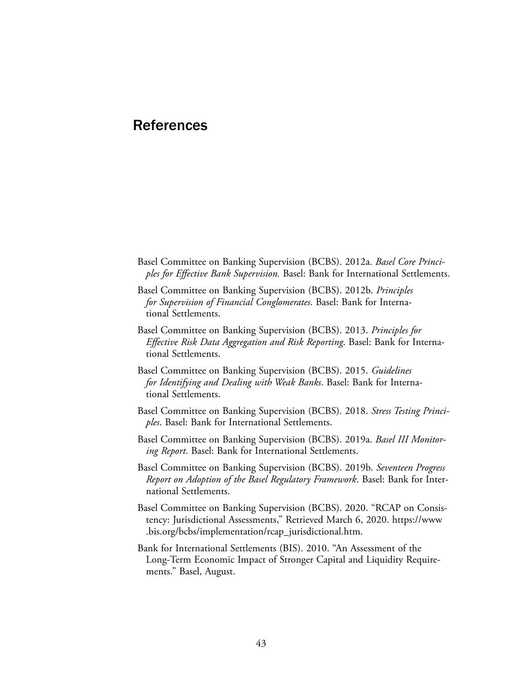## **References**

- Basel Committee on Banking Supervision (BCBS). 2012a. *Basel Core Principles for Effective Bank Supervision.* Basel: Bank for International Settlements.
- Basel Committee on Banking Supervision (BCBS). 2012b. *Principles for Supervision of Financial Conglomerates*. Basel: Bank for International Settlements.
- Basel Committee on Banking Supervision (BCBS). 2013. *Principles for Effective Risk Data Aggregation and Risk Reporting*. Basel: Bank for International Settlements.
- Basel Committee on Banking Supervision (BCBS). 2015. *Guidelines for Identifying and Dealing with Weak Banks*. Basel: Bank for International Settlements.
- Basel Committee on Banking Supervision (BCBS). 2018. *Stress Testing Principles*. Basel: Bank for International Settlements.
- Basel Committee on Banking Supervision (BCBS). 2019a. *Basel III Monitoring Report*. Basel: Bank for International Settlements.
- Basel Committee on Banking Supervision (BCBS). 2019b. *Seventeen Progress Report on Adoption of the Basel Regulatory Framework*. Basel: Bank for International Settlements.
- Basel Committee on Banking Supervision (BCBS). 2020. "RCAP on Consistency: Jurisdictional Assessments," Retrieved March 6, 2020. [https://www](https://www.bis.org/bcbs/implementation/rcap_jurisdictional.htm) [.bis.org/bcbs/implementation/rcap\\_jurisdictional.htm.](https://www.bis.org/bcbs/implementation/rcap_jurisdictional.htm)
- Bank for International Settlements (BIS). 2010. "An Assessment of the Long-Term Economic Impact of Stronger Capital and Liquidity Requirements." Basel, August.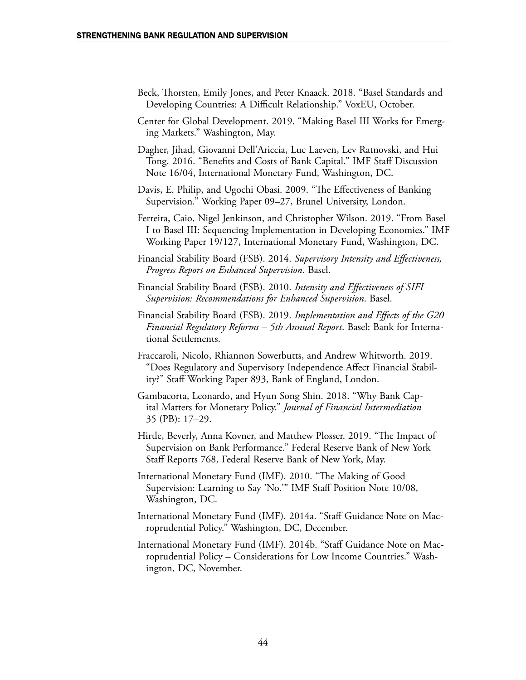- Beck, Thorsten, Emily Jones, and Peter Knaack. 2018. "Basel Standards and Developing Countries: A Difficult Relationship." VoxEU, October.
- Center for Global Development. 2019. "Making Basel III Works for Emerging Markets." Washington, May.
- Dagher, Jihad, Giovanni Dell'Ariccia, Luc Laeven, Lev Ratnovski, and Hui Tong. 2016. "Benefits and Costs of Bank Capital." IMF Staff Discussion Note 16/04, International Monetary Fund, Washington, DC.
- Davis, E. Philip, and Ugochi Obasi. 2009. "The Effectiveness of Banking Supervision." Working Paper 09–27, Brunel University, London.
- Ferreira, Caio, Nigel Jenkinson, and Christopher Wilson. 2019. "From Basel I to Basel III: Sequencing Implementation in Developing Economies." IMF Working Paper 19/127, International Monetary Fund, Washington, DC.
- Financial Stability Board (FSB). 2014. *Supervisory Intensity and Effectiveness, Progress Report on Enhanced Supervision*. Basel.
- Financial Stability Board (FSB). 2010. *Intensity and Effectiveness of SIFI Supervision: Recommendations for Enhanced Supervision*. Basel.
- Financial Stability Board (FSB). 2019. *Implementation and Effects of the G20 Financial Regulatory Reforms – 5th Annual Report*. Basel: Bank for International Settlements.
- Fraccaroli, Nicolo, Rhiannon Sowerbutts, and Andrew Whitworth. 2019. "Does Regulatory and Supervisory Independence Affect Financial Stability?" Staff Working Paper 893, Bank of England, London.
- Gambacorta, Leonardo, and Hyun Song Shin. 2018. "Why Bank Capital Matters for Monetary Policy." *Journal of Financial Intermediation* 35 (PB): 17–29.
- Hirtle, Beverly, Anna Kovner, and Matthew Plosser. 2019. "The Impact of Supervision on Bank Performance." Federal Reserve Bank of New York Staff Reports 768, Federal Reserve Bank of New York, May.
- International Monetary Fund (IMF). 2010. "The Making of Good Supervision: Learning to Say 'No.'" IMF Staff Position Note 10/08, Washington, DC.
- International Monetary Fund (IMF). 2014a. "Staff Guidance Note on Macroprudential Policy." Washington, DC, December.
- International Monetary Fund (IMF). 2014b. "Staff Guidance Note on Macroprudential Policy – Considerations for Low Income Countries." Washington, DC, November.